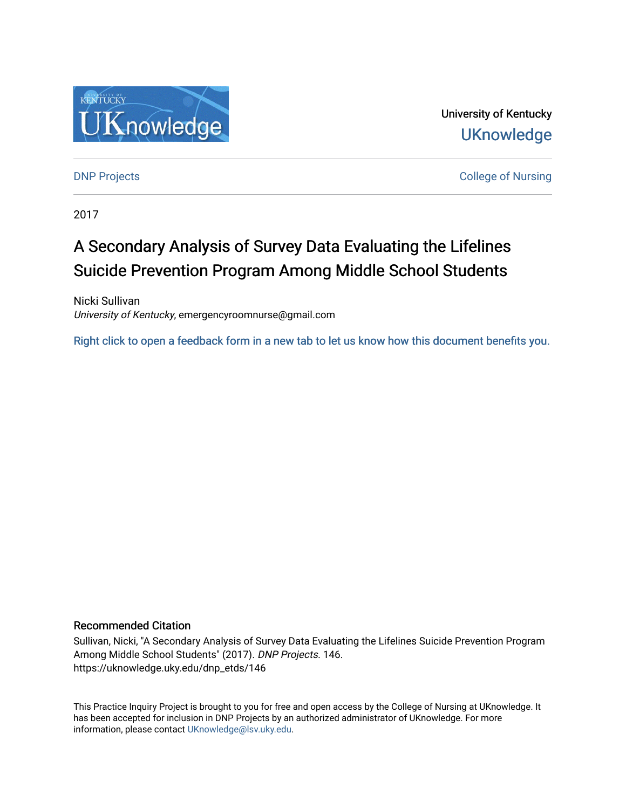

University of Kentucky **UKnowledge** 

**DNP Projects** College of Nursing

2017

# A Secondary Analysis of Survey Data Evaluating the Lifelines Suicide Prevention Program Among Middle School Students

Nicki Sullivan University of Kentucky, emergencyroomnurse@gmail.com

[Right click to open a feedback form in a new tab to let us know how this document benefits you.](https://uky.az1.qualtrics.com/jfe/form/SV_9mq8fx2GnONRfz7)

## Recommended Citation

Sullivan, Nicki, "A Secondary Analysis of Survey Data Evaluating the Lifelines Suicide Prevention Program Among Middle School Students" (2017). DNP Projects. 146. https://uknowledge.uky.edu/dnp\_etds/146

This Practice Inquiry Project is brought to you for free and open access by the College of Nursing at UKnowledge. It has been accepted for inclusion in DNP Projects by an authorized administrator of UKnowledge. For more information, please contact [UKnowledge@lsv.uky.edu](mailto:UKnowledge@lsv.uky.edu).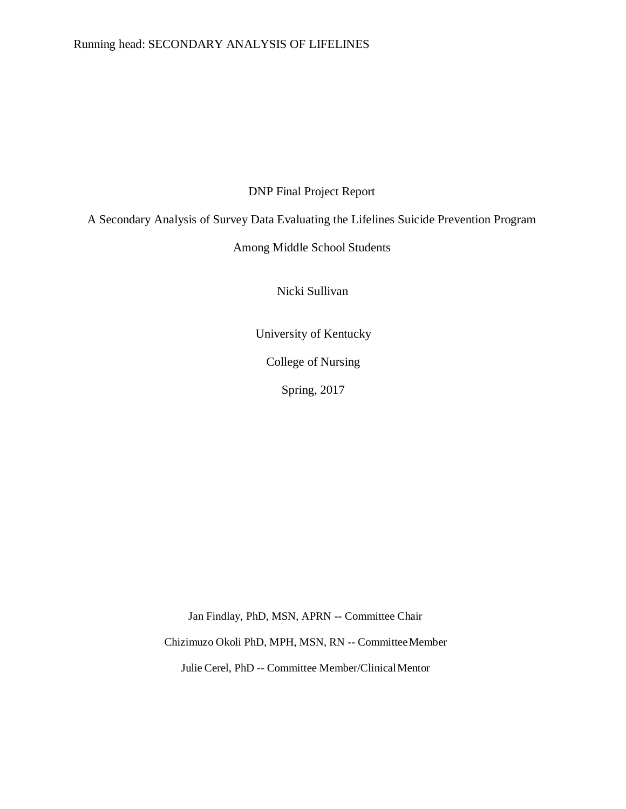## Running head: SECONDARY ANALYSIS OF LIFELINES

DNP Final Project Report

A Secondary Analysis of Survey Data Evaluating the Lifelines Suicide Prevention Program

## Among Middle School Students

Nicki Sullivan

University of Kentucky

College of Nursing

Spring, 2017

Jan Findlay, PhD, MSN, APRN -- Committee Chair

Chizimuzo Okoli PhD, MPH, MSN, RN -- CommitteeMember

Julie Cerel, PhD -- Committee Member/ClinicalMentor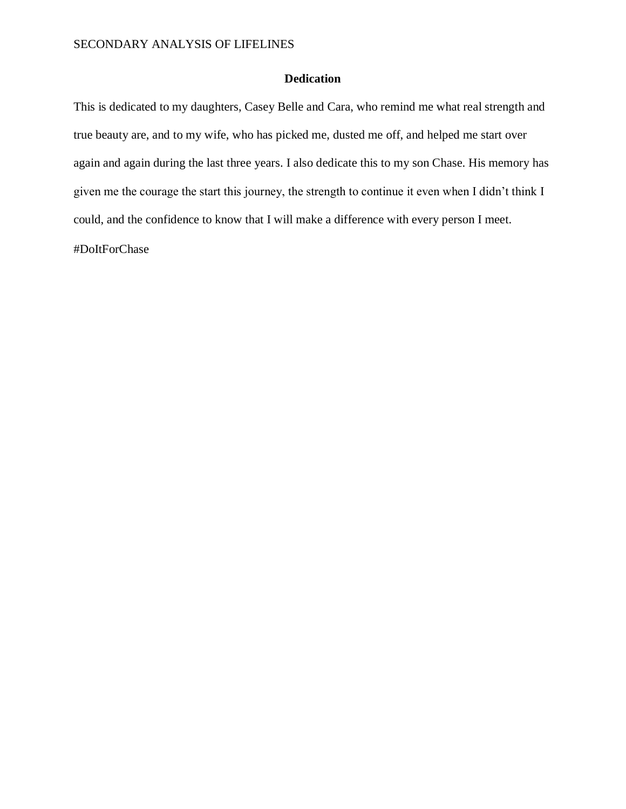## **Dedication**

This is dedicated to my daughters, Casey Belle and Cara, who remind me what real strength and true beauty are, and to my wife, who has picked me, dusted me off, and helped me start over again and again during the last three years. I also dedicate this to my son Chase. His memory has given me the courage the start this journey, the strength to continue it even when I didn't think I could, and the confidence to know that I will make a difference with every person I meet.

#DoItForChase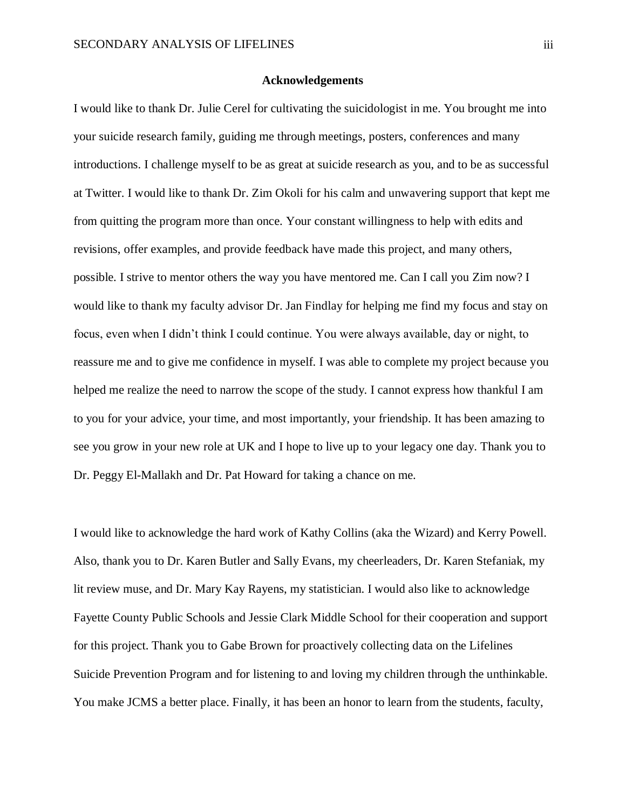## **Acknowledgements**

<span id="page-3-0"></span>I would like to thank Dr. Julie Cerel for cultivating the suicidologist in me. You brought me into your suicide research family, guiding me through meetings, posters, conferences and many introductions. I challenge myself to be as great at suicide research as you, and to be as successful at Twitter. I would like to thank Dr. Zim Okoli for his calm and unwavering support that kept me from quitting the program more than once. Your constant willingness to help with edits and revisions, offer examples, and provide feedback have made this project, and many others, possible. I strive to mentor others the way you have mentored me. Can I call you Zim now? I would like to thank my faculty advisor Dr. Jan Findlay for helping me find my focus and stay on focus, even when I didn't think I could continue. You were always available, day or night, to reassure me and to give me confidence in myself. I was able to complete my project because you helped me realize the need to narrow the scope of the study. I cannot express how thankful I am to you for your advice, your time, and most importantly, your friendship. It has been amazing to see you grow in your new role at UK and I hope to live up to your legacy one day. Thank you to Dr. Peggy El-Mallakh and Dr. Pat Howard for taking a chance on me.

I would like to acknowledge the hard work of Kathy Collins (aka the Wizard) and Kerry Powell. Also, thank you to Dr. Karen Butler and Sally Evans, my cheerleaders, Dr. Karen Stefaniak, my lit review muse, and Dr. Mary Kay Rayens, my statistician. I would also like to acknowledge Fayette County Public Schools and Jessie Clark Middle School for their cooperation and support for this project. Thank you to Gabe Brown for proactively collecting data on the Lifelines Suicide Prevention Program and for listening to and loving my children through the unthinkable. You make JCMS a better place. Finally, it has been an honor to learn from the students, faculty,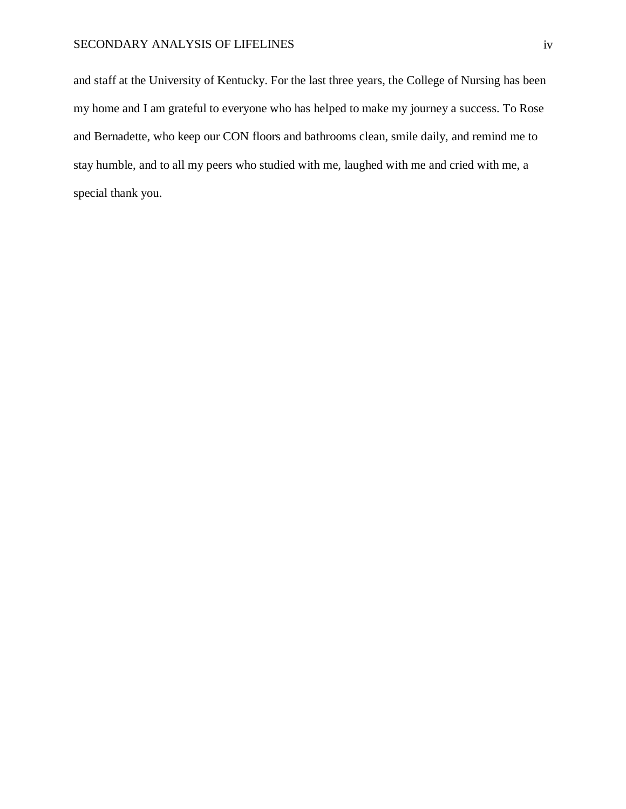## SECONDARY ANALYSIS OF LIFELINES iv

and staff at the University of Kentucky. For the last three years, the College of Nursing has been my home and I am grateful to everyone who has helped to make my journey a success. To Rose and Bernadette, who keep our CON floors and bathrooms clean, smile daily, and remind me to stay humble, and to all my peers who studied with me, laughed with me and cried with me, a special thank you.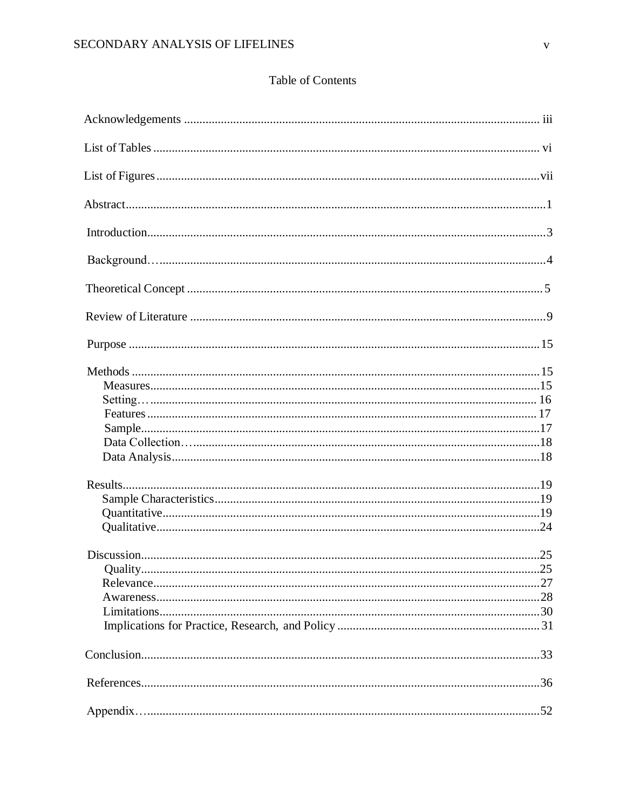## **Table of Contents**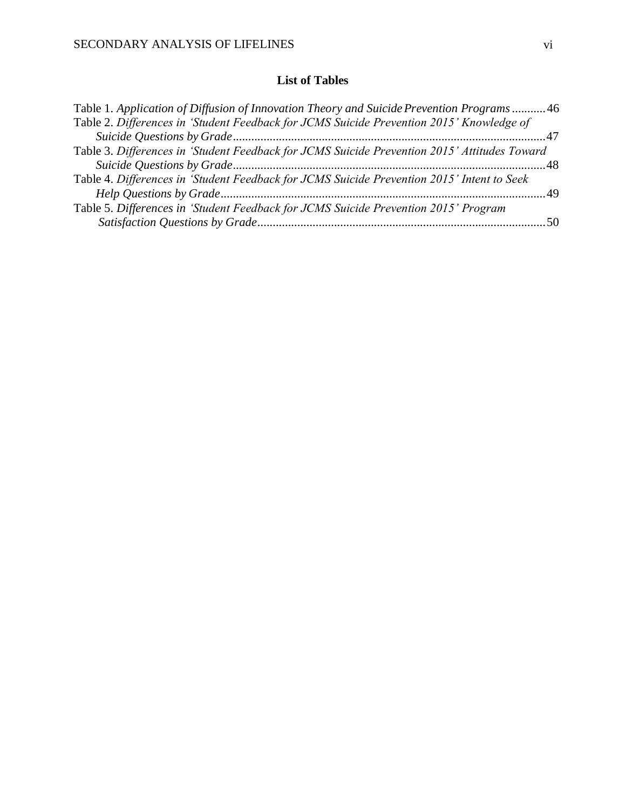## **List of Tables**

<span id="page-6-0"></span>

| Table 1. Application of Diffusion of Innovation Theory and Suicide Prevention Programs 46    |  |
|----------------------------------------------------------------------------------------------|--|
| Table 2. Differences in 'Student Feedback for JCMS Suicide Prevention 2015' Knowledge of     |  |
|                                                                                              |  |
| Table 3. Differences in 'Student Feedback for JCMS Suicide Prevention 2015' Attitudes Toward |  |
|                                                                                              |  |
| Table 4. Differences in 'Student Feedback for JCMS Suicide Prevention 2015' Intent to Seek   |  |
|                                                                                              |  |
| Table 5. Differences in 'Student Feedback for JCMS Suicide Prevention 2015' Program          |  |
|                                                                                              |  |
|                                                                                              |  |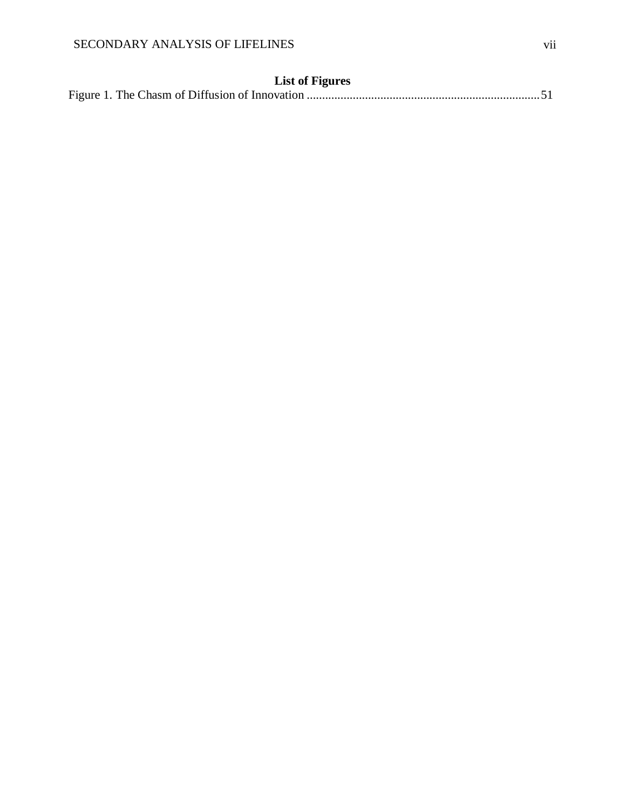## **List of Figures**

|--|--|--|--|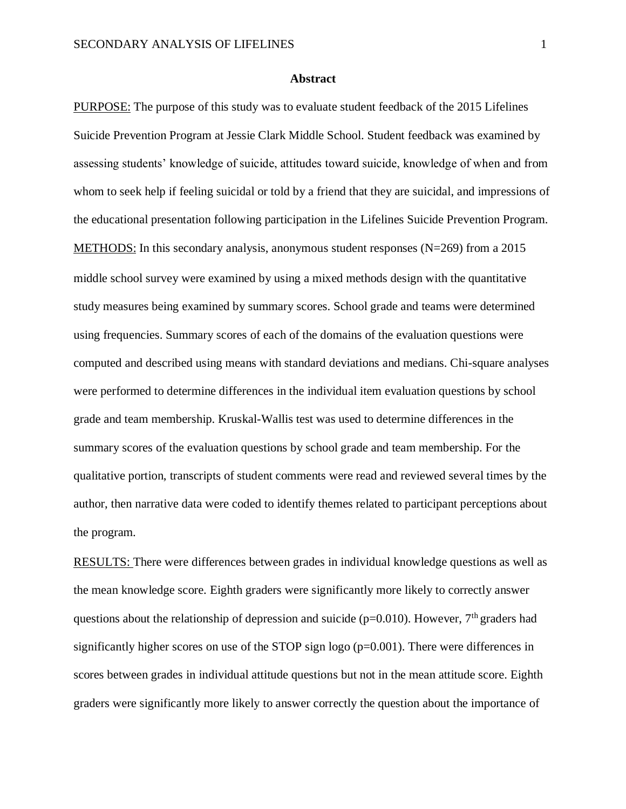### **Abstract**

<span id="page-8-0"></span>PURPOSE: The purpose of this study was to evaluate student feedback of the 2015 Lifelines Suicide Prevention Program at Jessie Clark Middle School. Student feedback was examined by assessing students' knowledge of suicide, attitudes toward suicide, knowledge of when and from whom to seek help if feeling suicidal or told by a friend that they are suicidal, and impressions of the educational presentation following participation in the Lifelines Suicide Prevention Program. METHODS: In this secondary analysis, anonymous student responses (N=269) from a 2015 middle school survey were examined by using a mixed methods design with the quantitative study measures being examined by summary scores. School grade and teams were determined using frequencies. Summary scores of each of the domains of the evaluation questions were computed and described using means with standard deviations and medians. Chi-square analyses were performed to determine differences in the individual item evaluation questions by school grade and team membership. Kruskal-Wallis test was used to determine differences in the summary scores of the evaluation questions by school grade and team membership. For the qualitative portion, transcripts of student comments were read and reviewed several times by the author, then narrative data were coded to identify themes related to participant perceptions about the program.

RESULTS: There were differences between grades in individual knowledge questions as well as the mean knowledge score. Eighth graders were significantly more likely to correctly answer questions about the relationship of depression and suicide ( $p=0.010$ ). However, 7<sup>th</sup> graders had significantly higher scores on use of the STOP sign logo ( $p=0.001$ ). There were differences in scores between grades in individual attitude questions but not in the mean attitude score. Eighth graders were significantly more likely to answer correctly the question about the importance of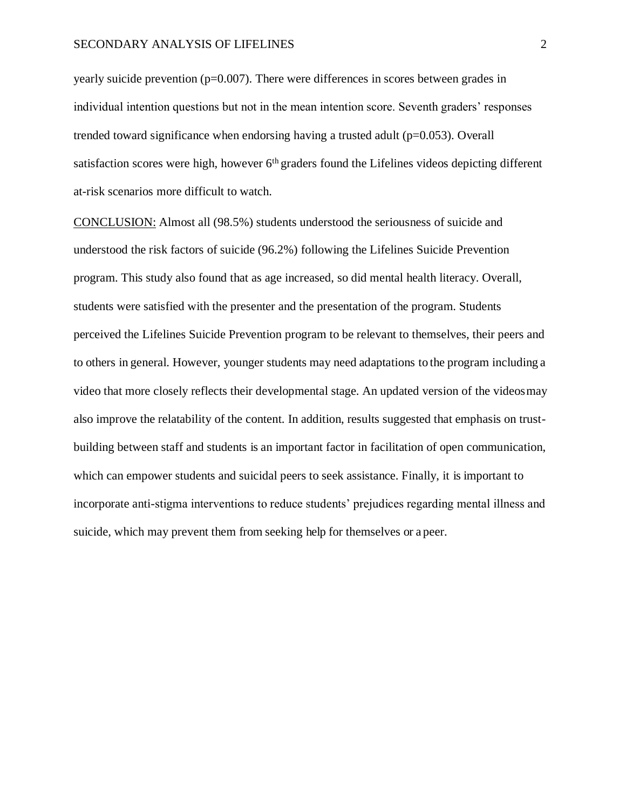yearly suicide prevention ( $p=0.007$ ). There were differences in scores between grades in individual intention questions but not in the mean intention score. Seventh graders' responses trended toward significance when endorsing having a trusted adult ( $p=0.053$ ). Overall satisfaction scores were high, however 6<sup>th</sup> graders found the Lifelines videos depicting different at-risk scenarios more difficult to watch.

CONCLUSION: Almost all (98.5%) students understood the seriousness of suicide and understood the risk factors of suicide (96.2%) following the Lifelines Suicide Prevention program. This study also found that as age increased, so did mental health literacy. Overall, students were satisfied with the presenter and the presentation of the program. Students perceived the Lifelines Suicide Prevention program to be relevant to themselves, their peers and to others in general. However, younger students may need adaptations to the program including a video that more closely reflects their developmental stage. An updated version of the videosmay also improve the relatability of the content. In addition, results suggested that emphasis on trustbuilding between staff and students is an important factor in facilitation of open communication, which can empower students and suicidal peers to seek assistance. Finally, it is important to incorporate anti-stigma interventions to reduce students' prejudices regarding mental illness and suicide, which may prevent them from seeking help for themselves or a peer.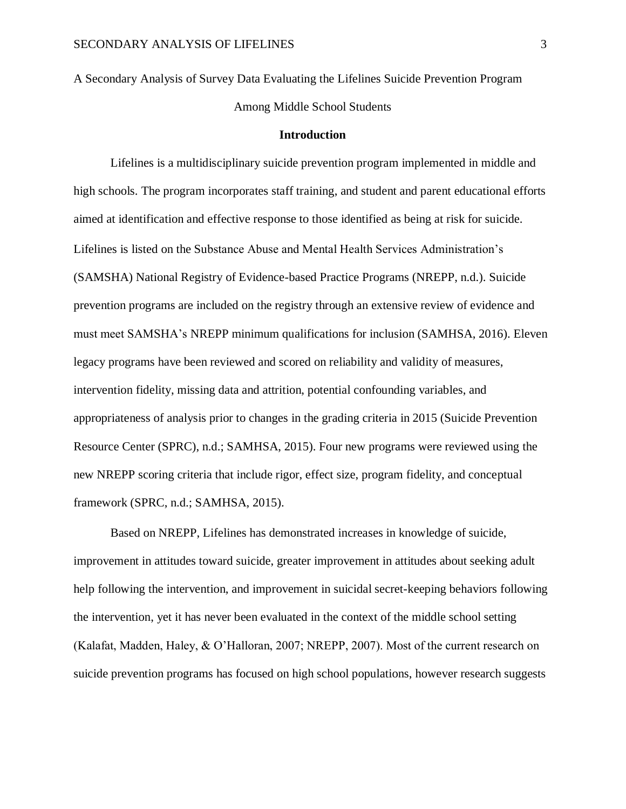A Secondary Analysis of Survey Data Evaluating the Lifelines Suicide Prevention Program Among Middle School Students

## **Introduction**

<span id="page-10-0"></span>Lifelines is a multidisciplinary suicide prevention program implemented in middle and high schools. The program incorporates staff training, and student and parent educational efforts aimed at identification and effective response to those identified as being at risk for suicide. Lifelines is listed on the Substance Abuse and Mental Health Services Administration's (SAMSHA) National Registry of Evidence-based Practice Programs (NREPP, n.d.). Suicide prevention programs are included on the registry through an extensive review of evidence and must meet SAMSHA's NREPP minimum qualifications for inclusion (SAMHSA, 2016). Eleven legacy programs have been reviewed and scored on reliability and validity of measures, intervention fidelity, missing data and attrition, potential confounding variables, and appropriateness of analysis prior to changes in the grading criteria in 2015 (Suicide Prevention Resource Center (SPRC), n.d.; SAMHSA, 2015). Four new programs were reviewed using the new NREPP scoring criteria that include rigor, effect size, program fidelity, and conceptual framework (SPRC, n.d.; SAMHSA, 2015).

Based on NREPP, Lifelines has demonstrated increases in knowledge of suicide, improvement in attitudes toward suicide, greater improvement in attitudes about seeking adult help following the intervention, and improvement in suicidal secret-keeping behaviors following the intervention, yet it has never been evaluated in the context of the middle school setting (Kalafat, Madden, Haley, & O'Halloran, 2007; NREPP, 2007). Most of the current research on suicide prevention programs has focused on high school populations, however research suggests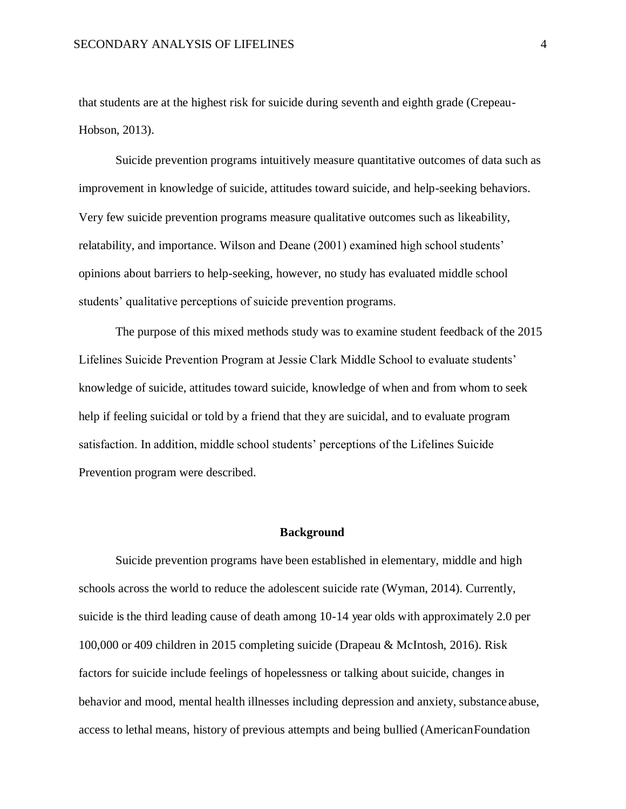that students are at the highest risk for suicide during seventh and eighth grade (Crepeau-Hobson, 2013).

Suicide prevention programs intuitively measure quantitative outcomes of data such as improvement in knowledge of suicide, attitudes toward suicide, and help-seeking behaviors. Very few suicide prevention programs measure qualitative outcomes such as likeability, relatability, and importance. Wilson and Deane (2001) examined high school students' opinions about barriers to help-seeking, however, no study has evaluated middle school students' qualitative perceptions of suicide prevention programs.

The purpose of this mixed methods study was to examine student feedback of the 2015 Lifelines Suicide Prevention Program at Jessie Clark Middle School to evaluate students' knowledge of suicide, attitudes toward suicide, knowledge of when and from whom to seek help if feeling suicidal or told by a friend that they are suicidal, and to evaluate program satisfaction. In addition, middle school students' perceptions of the Lifelines Suicide Prevention program were described.

#### **Background**

<span id="page-11-0"></span>Suicide prevention programs have been established in elementary, middle and high schools across the world to reduce the adolescent suicide rate (Wyman, 2014). Currently, suicide is the third leading cause of death among 10-14 year olds with approximately 2.0 per 100,000 or 409 children in 2015 completing suicide (Drapeau & McIntosh, 2016). Risk factors for suicide include feelings of hopelessness or talking about suicide, changes in behavior and mood, mental health illnesses including depression and anxiety, substance abuse, access to lethal means, history of previous attempts and being bullied (AmericanFoundation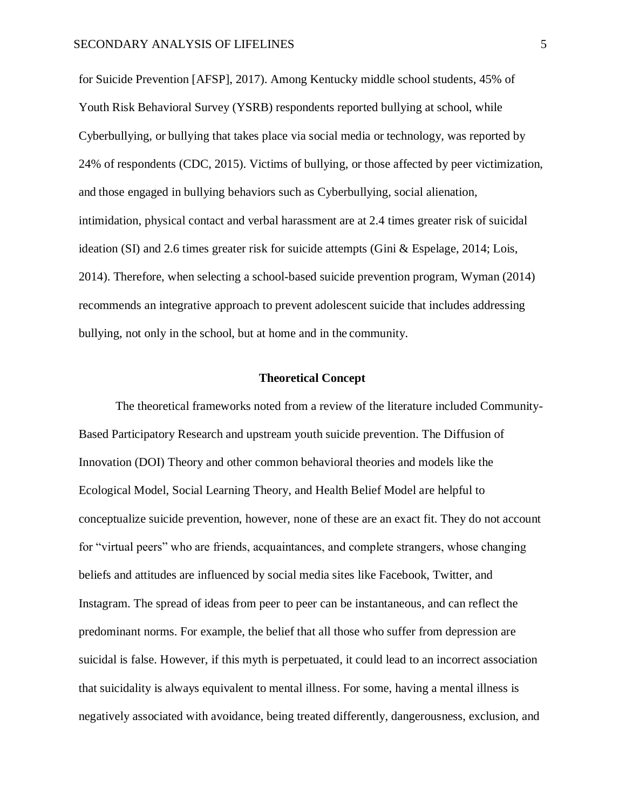for Suicide Prevention [AFSP], 2017). Among Kentucky middle school students, 45% of Youth Risk Behavioral Survey (YSRB) respondents reported bullying at school, while Cyberbullying, or bullying that takes place via social media or technology, was reported by 24% of respondents (CDC, 2015). Victims of bullying, or those affected by peer victimization, and those engaged in bullying behaviors such as Cyberbullying, social alienation, intimidation, physical contact and verbal harassment are at 2.4 times greater risk of suicidal ideation (SI) and 2.6 times greater risk for suicide attempts (Gini & Espelage, 2014; Lois, 2014). Therefore, when selecting a school-based suicide prevention program, Wyman (2014) recommends an integrative approach to prevent adolescent suicide that includes addressing bullying, not only in the school, but at home and in the community.

#### **Theoretical Concept**

<span id="page-12-0"></span>The theoretical frameworks noted from a review of the literature included Community-Based Participatory Research and upstream youth suicide prevention. The Diffusion of Innovation (DOI) Theory and other common behavioral theories and models like the Ecological Model, Social Learning Theory, and Health Belief Model are helpful to conceptualize suicide prevention, however, none of these are an exact fit. They do not account for "virtual peers" who are friends, acquaintances, and complete strangers, whose changing beliefs and attitudes are influenced by social media sites like Facebook, Twitter, and Instagram. The spread of ideas from peer to peer can be instantaneous, and can reflect the predominant norms. For example, the belief that all those who suffer from depression are suicidal is false. However, if this myth is perpetuated, it could lead to an incorrect association that suicidality is always equivalent to mental illness. For some, having a mental illness is negatively associated with avoidance, being treated differently, dangerousness, exclusion, and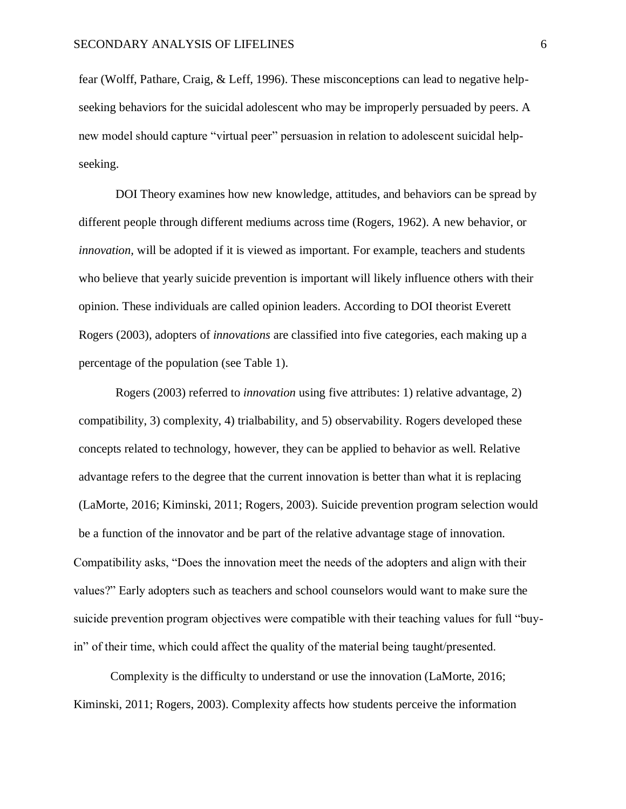fear (Wolff, Pathare, Craig, & Leff, 1996). These misconceptions can lead to negative helpseeking behaviors for the suicidal adolescent who may be improperly persuaded by peers. A new model should capture "virtual peer" persuasion in relation to adolescent suicidal helpseeking.

DOI Theory examines how new knowledge, attitudes, and behaviors can be spread by different people through different mediums across time (Rogers, 1962). A new behavior, or *innovation,* will be adopted if it is viewed as important. For example, teachers and students who believe that yearly suicide prevention is important will likely influence others with their opinion. These individuals are called opinion leaders. According to DOI theorist Everett Rogers (2003), adopters of *innovations* are classified into five categories, each making up a percentage of the population (see Table 1).

Rogers (2003) referred to *innovation* using five attributes: 1) relative advantage, 2) compatibility, 3) complexity, 4) trialbability, and 5) observability. Rogers developed these concepts related to technology, however, they can be applied to behavior as well. Relative advantage refers to the degree that the current innovation is better than what it is replacing (LaMorte, 2016; Kiminski, 2011; Rogers, 2003). Suicide prevention program selection would be a function of the innovator and be part of the relative advantage stage of innovation. Compatibility asks, "Does the innovation meet the needs of the adopters and align with their values?" Early adopters such as teachers and school counselors would want to make sure the suicide prevention program objectives were compatible with their teaching values for full "buyin" of their time, which could affect the quality of the material being taught/presented.

Complexity is the difficulty to understand or use the innovation (LaMorte, 2016; Kiminski, 2011; Rogers, 2003). Complexity affects how students perceive the information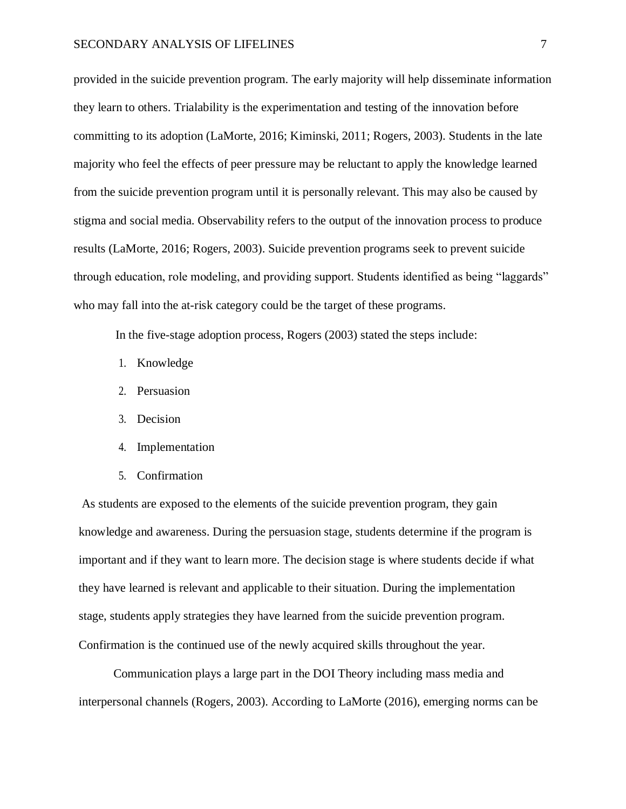provided in the suicide prevention program. The early majority will help disseminate information they learn to others. Trialability is the experimentation and testing of the innovation before committing to its adoption (LaMorte, 2016; Kiminski, 2011; Rogers, 2003). Students in the late majority who feel the effects of peer pressure may be reluctant to apply the knowledge learned from the suicide prevention program until it is personally relevant. This may also be caused by stigma and social media. Observability refers to the output of the innovation process to produce results (LaMorte, 2016; Rogers, 2003). Suicide prevention programs seek to prevent suicide through education, role modeling, and providing support. Students identified as being "laggards" who may fall into the at-risk category could be the target of these programs.

In the five-stage adoption process, Rogers (2003) stated the steps include:

- 1. Knowledge
- 2. Persuasion
- 3. Decision
- 4. Implementation
- 5. Confirmation

As students are exposed to the elements of the suicide prevention program, they gain knowledge and awareness. During the persuasion stage, students determine if the program is important and if they want to learn more. The decision stage is where students decide if what they have learned is relevant and applicable to their situation. During the implementation stage, students apply strategies they have learned from the suicide prevention program. Confirmation is the continued use of the newly acquired skills throughout the year.

Communication plays a large part in the DOI Theory including mass media and interpersonal channels (Rogers, 2003). According to LaMorte (2016), emerging norms can be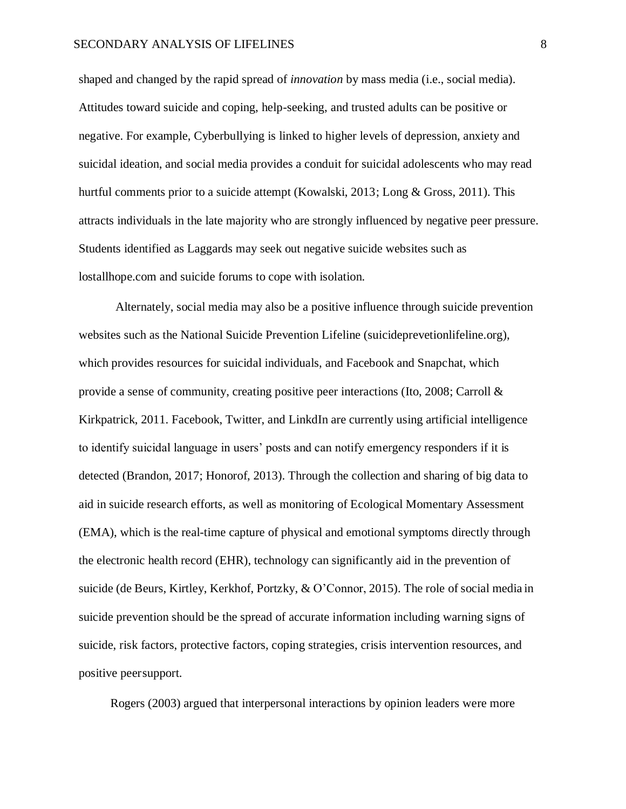shaped and changed by the rapid spread of *innovation* by mass media (i.e., social media). Attitudes toward suicide and coping, help-seeking, and trusted adults can be positive or negative. For example, Cyberbullying is linked to higher levels of depression, anxiety and suicidal ideation, and social media provides a conduit for suicidal adolescents who may read hurtful comments prior to a suicide attempt (Kowalski, 2013; Long & Gross, 2011). This attracts individuals in the late majority who are strongly influenced by negative peer pressure. Students identified as Laggards may seek out negative suicide websites such as lostallhope.com and suicide forums to cope with isolation.

Alternately, social media may also be a positive influence through suicide prevention websites such as the National Suicide Prevention Lifeline (suicideprevetionlifeline.org), which provides resources for suicidal individuals, and Facebook and Snapchat, which provide a sense of community, creating positive peer interactions (Ito, 2008; Carroll  $\&$ Kirkpatrick, 2011. Facebook, Twitter, and LinkdIn are currently using artificial intelligence to identify suicidal language in users' posts and can notify emergency responders if it is detected (Brandon, 2017; Honorof, 2013). Through the collection and sharing of big data to aid in suicide research efforts, as well as monitoring of Ecological Momentary Assessment (EMA), which is the real-time capture of physical and emotional symptoms directly through the electronic health record (EHR), technology can significantly aid in the prevention of suicide (de Beurs, Kirtley, Kerkhof, Portzky, & O'Connor, 2015). The role of social media in suicide prevention should be the spread of accurate information including warning signs of suicide, risk factors, protective factors, coping strategies, crisis intervention resources, and positive peersupport.

Rogers (2003) argued that interpersonal interactions by opinion leaders were more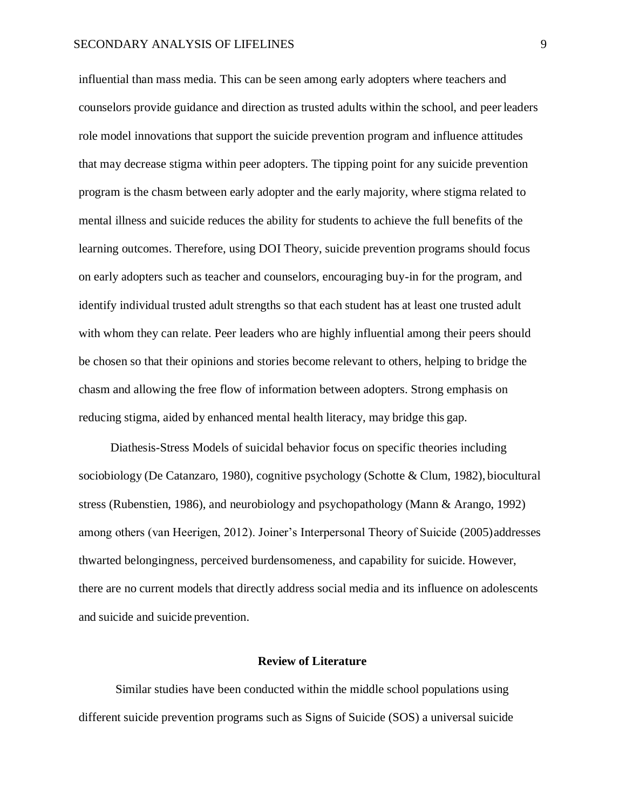influential than mass media. This can be seen among early adopters where teachers and counselors provide guidance and direction as trusted adults within the school, and peer leaders role model innovations that support the suicide prevention program and influence attitudes that may decrease stigma within peer adopters. The tipping point for any suicide prevention program is the chasm between early adopter and the early majority, where stigma related to mental illness and suicide reduces the ability for students to achieve the full benefits of the learning outcomes. Therefore, using DOI Theory, suicide prevention programs should focus on early adopters such as teacher and counselors, encouraging buy-in for the program, and identify individual trusted adult strengths so that each student has at least one trusted adult with whom they can relate. Peer leaders who are highly influential among their peers should be chosen so that their opinions and stories become relevant to others, helping to bridge the chasm and allowing the free flow of information between adopters. Strong emphasis on reducing stigma, aided by enhanced mental health literacy, may bridge this gap.

Diathesis-Stress Models of suicidal behavior focus on specific theories including sociobiology (De Catanzaro, 1980), cognitive psychology (Schotte & Clum, 1982), biocultural stress (Rubenstien, 1986), and neurobiology and psychopathology (Mann & Arango, 1992) among others (van Heerigen, 2012). Joiner's Interpersonal Theory of Suicide (2005)addresses thwarted belongingness, perceived burdensomeness, and capability for suicide. However, there are no current models that directly address social media and its influence on adolescents and suicide and suicide prevention.

## **Review of Literature**

<span id="page-16-0"></span>Similar studies have been conducted within the middle school populations using different suicide prevention programs such as Signs of Suicide (SOS) a universal suicide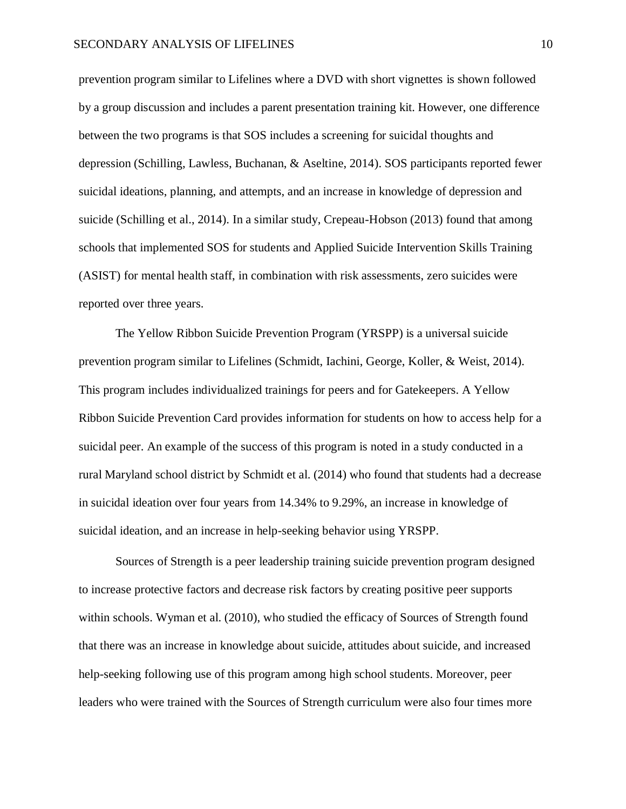prevention program similar to Lifelines where a DVD with short vignettes is shown followed by a group discussion and includes a parent presentation training kit. However, one difference between the two programs is that SOS includes a screening for suicidal thoughts and depression (Schilling, Lawless, Buchanan, & Aseltine, 2014). SOS participants reported fewer suicidal ideations, planning, and attempts, and an increase in knowledge of depression and suicide (Schilling et al., 2014). In a similar study, Crepeau-Hobson (2013) found that among schools that implemented SOS for students and Applied Suicide Intervention Skills Training (ASIST) for mental health staff, in combination with risk assessments, zero suicides were reported over three years.

The Yellow Ribbon Suicide Prevention Program (YRSPP) is a universal suicide prevention program similar to Lifelines (Schmidt, Iachini, George, Koller, & Weist, 2014). This program includes individualized trainings for peers and for Gatekeepers. A Yellow Ribbon Suicide Prevention Card provides information for students on how to access help for a suicidal peer. An example of the success of this program is noted in a study conducted in a rural Maryland school district by Schmidt et al. (2014) who found that students had a decrease in suicidal ideation over four years from 14.34% to 9.29%, an increase in knowledge of suicidal ideation, and an increase in help-seeking behavior using YRSPP.

Sources of Strength is a peer leadership training suicide prevention program designed to increase protective factors and decrease risk factors by creating positive peer supports within schools. Wyman et al. (2010), who studied the efficacy of Sources of Strength found that there was an increase in knowledge about suicide, attitudes about suicide, and increased help-seeking following use of this program among high school students. Moreover, peer leaders who were trained with the Sources of Strength curriculum were also four times more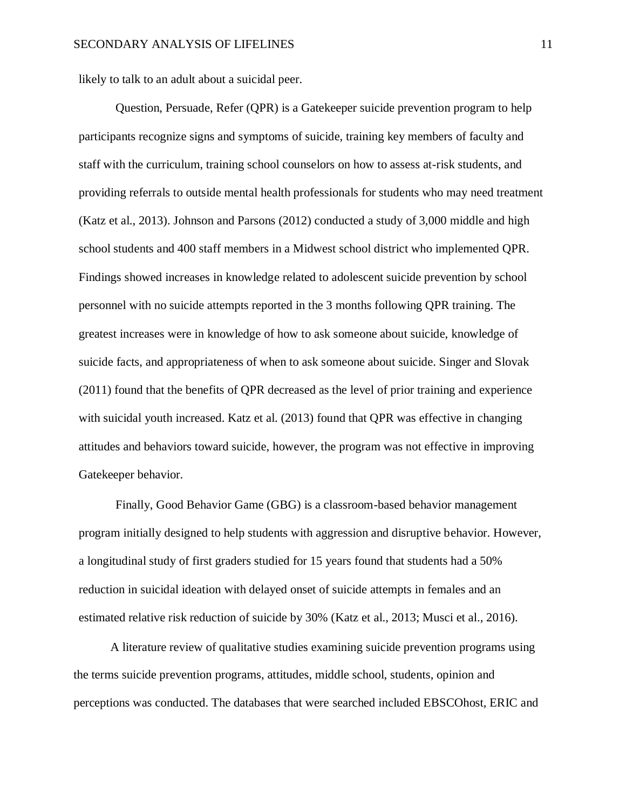likely to talk to an adult about a suicidal peer.

Question, Persuade, Refer (QPR) is a Gatekeeper suicide prevention program to help participants recognize signs and symptoms of suicide, training key members of faculty and staff with the curriculum, training school counselors on how to assess at-risk students, and providing referrals to outside mental health professionals for students who may need treatment (Katz et al., 2013). Johnson and Parsons (2012) conducted a study of 3,000 middle and high school students and 400 staff members in a Midwest school district who implemented QPR. Findings showed increases in knowledge related to adolescent suicide prevention by school personnel with no suicide attempts reported in the 3 months following QPR training. The greatest increases were in knowledge of how to ask someone about suicide, knowledge of suicide facts, and appropriateness of when to ask someone about suicide. Singer and Slovak (2011) found that the benefits of QPR decreased as the level of prior training and experience with suicidal youth increased. Katz et al. (2013) found that QPR was effective in changing attitudes and behaviors toward suicide, however, the program was not effective in improving Gatekeeper behavior.

Finally, Good Behavior Game (GBG) is a classroom-based behavior management program initially designed to help students with aggression and disruptive behavior. However, a longitudinal study of first graders studied for 15 years found that students had a 50% reduction in suicidal ideation with delayed onset of suicide attempts in females and an estimated relative risk reduction of suicide by 30% (Katz et al., 2013; Musci et al., 2016).

A literature review of qualitative studies examining suicide prevention programs using the terms suicide prevention programs, attitudes, middle school, students, opinion and perceptions was conducted. The databases that were searched included EBSCOhost, ERIC and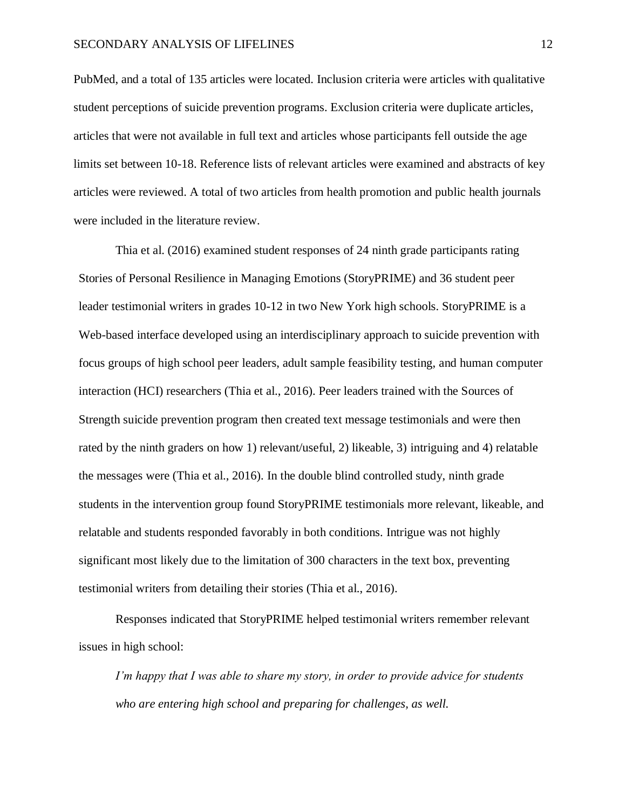PubMed, and a total of 135 articles were located. Inclusion criteria were articles with qualitative student perceptions of suicide prevention programs. Exclusion criteria were duplicate articles, articles that were not available in full text and articles whose participants fell outside the age limits set between 10-18. Reference lists of relevant articles were examined and abstracts of key articles were reviewed. A total of two articles from health promotion and public health journals were included in the literature review.

Thia et al. (2016) examined student responses of 24 ninth grade participants rating Stories of Personal Resilience in Managing Emotions (StoryPRIME) and 36 student peer leader testimonial writers in grades 10-12 in two New York high schools. StoryPRIME is a Web-based interface developed using an interdisciplinary approach to suicide prevention with focus groups of high school peer leaders, adult sample feasibility testing, and human computer interaction (HCI) researchers (Thia et al., 2016). Peer leaders trained with the Sources of Strength suicide prevention program then created text message testimonials and were then rated by the ninth graders on how 1) relevant/useful, 2) likeable, 3) intriguing and 4) relatable the messages were (Thia et al., 2016). In the double blind controlled study, ninth grade students in the intervention group found StoryPRIME testimonials more relevant, likeable, and relatable and students responded favorably in both conditions. Intrigue was not highly significant most likely due to the limitation of 300 characters in the text box, preventing testimonial writers from detailing their stories (Thia et al., 2016).

Responses indicated that StoryPRIME helped testimonial writers remember relevant issues in high school:

*I'm happy that I was able to share my story, in order to provide advice for students who are entering high school and preparing for challenges, as well.*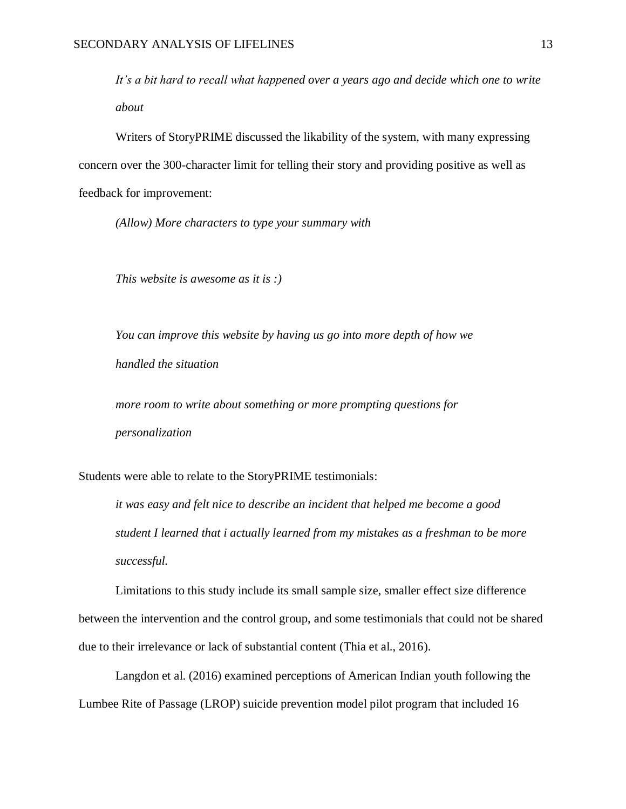*It's a bit hard to recall what happened over a years ago and decide which one to write about*

Writers of StoryPRIME discussed the likability of the system, with many expressing concern over the 300-character limit for telling their story and providing positive as well as feedback for improvement:

*(Allow) More characters to type your summary with*

*This website is awesome as it is :)*

*You can improve this website by having us go into more depth of how we handled the situation*

*more room to write about something or more prompting questions for personalization*

Students were able to relate to the StoryPRIME testimonials:

*it was easy and felt nice to describe an incident that helped me become a good student I learned that i actually learned from my mistakes as a freshman to be more successful.*

Limitations to this study include its small sample size, smaller effect size difference between the intervention and the control group, and some testimonials that could not be shared due to their irrelevance or lack of substantial content (Thia et al., 2016).

Langdon et al. (2016) examined perceptions of American Indian youth following the Lumbee Rite of Passage (LROP) suicide prevention model pilot program that included 16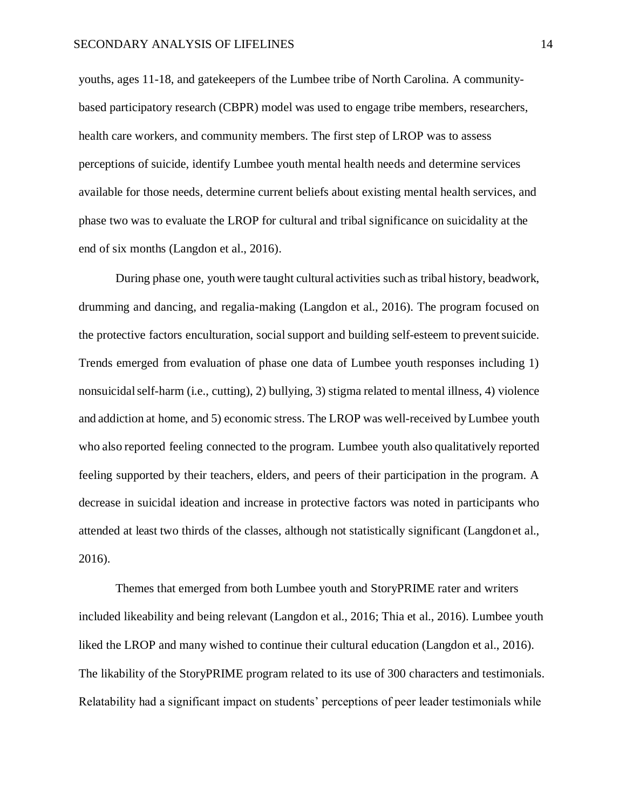youths, ages 11-18, and gatekeepers of the Lumbee tribe of North Carolina. A communitybased participatory research (CBPR) model was used to engage tribe members, researchers, health care workers, and community members. The first step of LROP was to assess perceptions of suicide, identify Lumbee youth mental health needs and determine services available for those needs, determine current beliefs about existing mental health services, and phase two was to evaluate the LROP for cultural and tribal significance on suicidality at the end of six months (Langdon et al., 2016).

During phase one, youth were taught cultural activities such as tribal history, beadwork, drumming and dancing, and regalia-making (Langdon et al., 2016). The program focused on the protective factors enculturation, social support and building self-esteem to prevent suicide. Trends emerged from evaluation of phase one data of Lumbee youth responses including 1) nonsuicidalself-harm (i.e., cutting), 2) bullying, 3) stigma related to mental illness, 4) violence and addiction at home, and 5) economic stress. The LROP was well-received byLumbee youth who also reported feeling connected to the program. Lumbee youth also qualitatively reported feeling supported by their teachers, elders, and peers of their participation in the program. A decrease in suicidal ideation and increase in protective factors was noted in participants who attended at least two thirds of the classes, although not statistically significant (Langdonet al., 2016).

Themes that emerged from both Lumbee youth and StoryPRIME rater and writers included likeability and being relevant (Langdon et al., 2016; Thia et al., 2016). Lumbee youth liked the LROP and many wished to continue their cultural education (Langdon et al., 2016). The likability of the StoryPRIME program related to its use of 300 characters and testimonials. Relatability had a significant impact on students' perceptions of peer leader testimonials while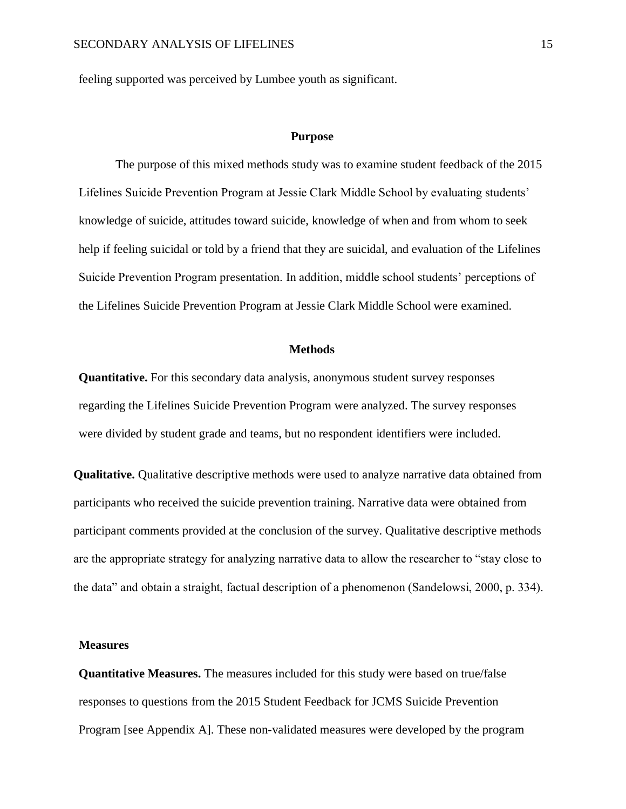feeling supported was perceived by Lumbee youth as significant.

#### **Purpose**

<span id="page-22-0"></span>The purpose of this mixed methods study was to examine student feedback of the 2015 Lifelines Suicide Prevention Program at Jessie Clark Middle School by evaluating students' knowledge of suicide, attitudes toward suicide, knowledge of when and from whom to seek help if feeling suicidal or told by a friend that they are suicidal, and evaluation of the Lifelines Suicide Prevention Program presentation. In addition, middle school students' perceptions of the Lifelines Suicide Prevention Program at Jessie Clark Middle School were examined.

#### **Methods**

<span id="page-22-1"></span>**Quantitative.** For this secondary data analysis, anonymous student survey responses regarding the Lifelines Suicide Prevention Program were analyzed. The survey responses were divided by student grade and teams, but no respondent identifiers were included.

**Qualitative.** Qualitative descriptive methods were used to analyze narrative data obtained from participants who received the suicide prevention training. Narrative data were obtained from participant comments provided at the conclusion of the survey. Qualitative descriptive methods are the appropriate strategy for analyzing narrative data to allow the researcher to "stay close to the data" and obtain a straight, factual description of a phenomenon (Sandelowsi, 2000, p. 334).

#### <span id="page-22-2"></span>**Measures**

**Quantitative Measures.** The measures included for this study were based on true/false responses to questions from the 2015 Student Feedback for JCMS Suicide Prevention Program [see Appendix A]. These non-validated measures were developed by the program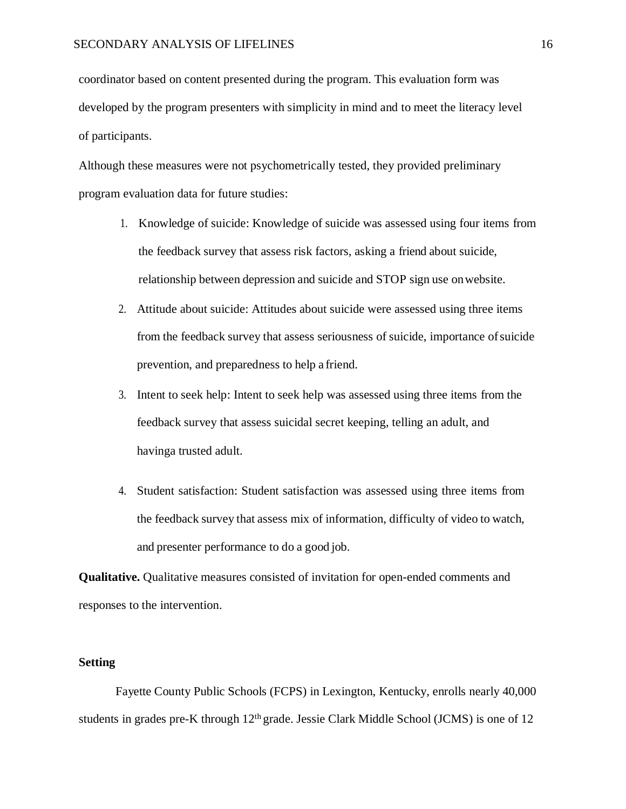coordinator based on content presented during the program. This evaluation form was developed by the program presenters with simplicity in mind and to meet the literacy level of participants.

Although these measures were not psychometrically tested, they provided preliminary program evaluation data for future studies:

- 1. Knowledge of suicide: Knowledge of suicide was assessed using four items from the feedback survey that assess risk factors, asking a friend about suicide, relationship between depression and suicide and STOP sign use onwebsite.
- 2. Attitude about suicide: Attitudes about suicide were assessed using three items from the feedback survey that assess seriousness of suicide, importance ofsuicide prevention, and preparedness to help a friend.
- 3. Intent to seek help: Intent to seek help was assessed using three items from the feedback survey that assess suicidal secret keeping, telling an adult, and havinga trusted adult.
- 4. Student satisfaction: Student satisfaction was assessed using three items from the feedback survey that assess mix of information, difficulty of video to watch, and presenter performance to do a good job.

**Qualitative.** Qualitative measures consisted of invitation for open-ended comments and responses to the intervention.

## <span id="page-23-0"></span>**Setting**

Fayette County Public Schools (FCPS) in Lexington, Kentucky, enrolls nearly 40,000 students in grades pre-K through  $12<sup>th</sup>$  grade. Jessie Clark Middle School (JCMS) is one of 12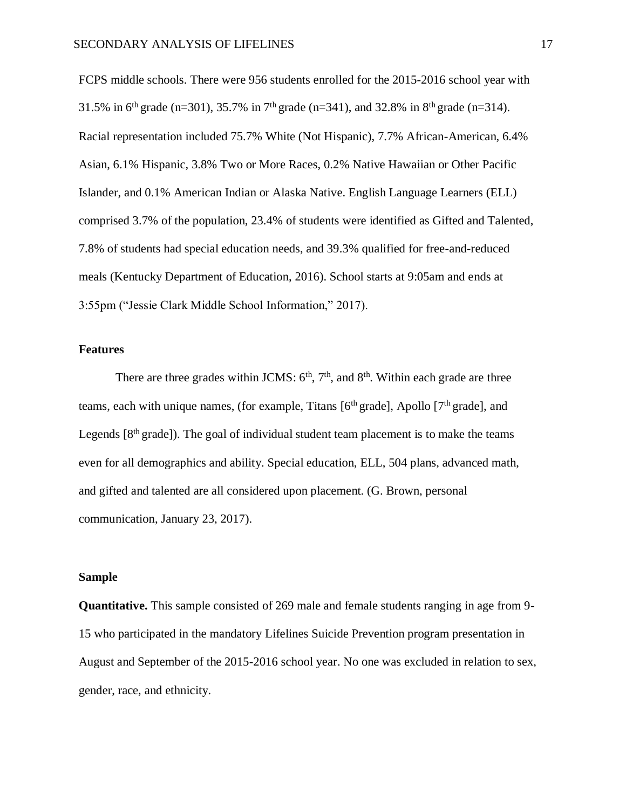FCPS middle schools. There were 956 students enrolled for the 2015-2016 school year with 31.5% in 6<sup>th</sup> grade (n=301), 35.7% in 7<sup>th</sup> grade (n=341), and 32.8% in 8<sup>th</sup> grade (n=314). Racial representation included 75.7% White (Not Hispanic), 7.7% African-American, 6.4% Asian, 6.1% Hispanic, 3.8% Two or More Races, 0.2% Native Hawaiian or Other Pacific Islander, and 0.1% American Indian or Alaska Native. English Language Learners (ELL) comprised 3.7% of the population, 23.4% of students were identified as Gifted and Talented, 7.8% of students had special education needs, and 39.3% qualified for free-and-reduced meals (Kentucky Department of Education, 2016). School starts at 9:05am and ends at 3:55pm ("Jessie Clark Middle School Information," 2017).

## <span id="page-24-0"></span>**Features**

There are three grades within JCMS:  $6<sup>th</sup>$ ,  $7<sup>th</sup>$ , and  $8<sup>th</sup>$ . Within each grade are three teams, each with unique names, (for example, Titans  $[6<sup>th</sup> \text{ grade}]$ , Apollo  $[7<sup>th</sup> \text{ grade}]$ , and Legends  $[8<sup>th</sup> grade]$ ). The goal of individual student team placement is to make the teams even for all demographics and ability. Special education, ELL, 504 plans, advanced math, and gifted and talented are all considered upon placement. (G. Brown, personal communication, January 23, 2017).

## <span id="page-24-1"></span>**Sample**

**Quantitative.** This sample consisted of 269 male and female students ranging in age from 9- 15 who participated in the mandatory Lifelines Suicide Prevention program presentation in August and September of the 2015-2016 school year. No one was excluded in relation to sex, gender, race, and ethnicity.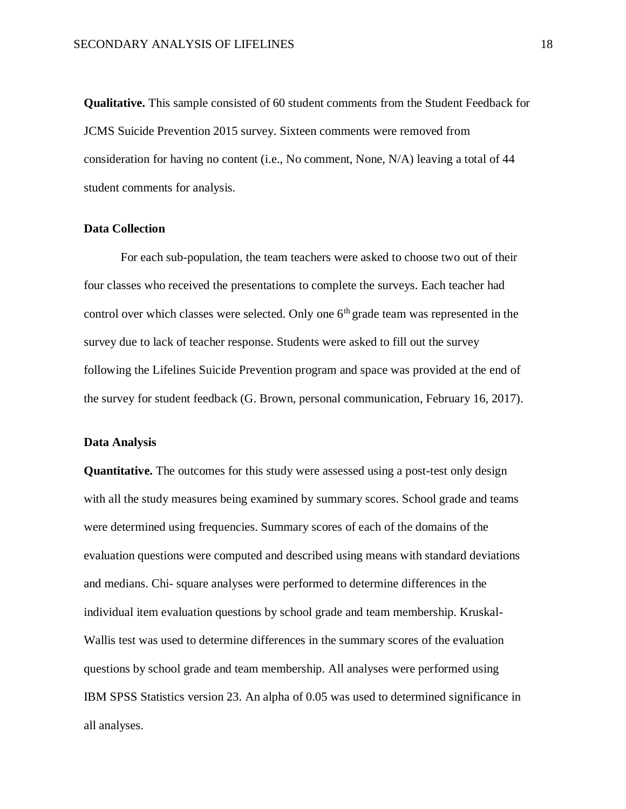**Qualitative.** This sample consisted of 60 student comments from the Student Feedback for JCMS Suicide Prevention 2015 survey. Sixteen comments were removed from consideration for having no content (i.e., No comment, None, N/A) leaving a total of 44 student comments for analysis.

## <span id="page-25-0"></span>**Data Collection**

For each sub-population, the team teachers were asked to choose two out of their four classes who received the presentations to complete the surveys. Each teacher had control over which classes were selected. Only one  $6<sup>th</sup>$  grade team was represented in the survey due to lack of teacher response. Students were asked to fill out the survey following the Lifelines Suicide Prevention program and space was provided at the end of the survey for student feedback (G. Brown, personal communication, February 16, 2017).

#### <span id="page-25-1"></span>**Data Analysis**

**Quantitative.** The outcomes for this study were assessed using a post-test only design with all the study measures being examined by summary scores. School grade and teams were determined using frequencies. Summary scores of each of the domains of the evaluation questions were computed and described using means with standard deviations and medians. Chi- square analyses were performed to determine differences in the individual item evaluation questions by school grade and team membership. Kruskal-Wallis test was used to determine differences in the summary scores of the evaluation questions by school grade and team membership. All analyses were performed using IBM SPSS Statistics version 23. An alpha of 0.05 was used to determined significance in all analyses.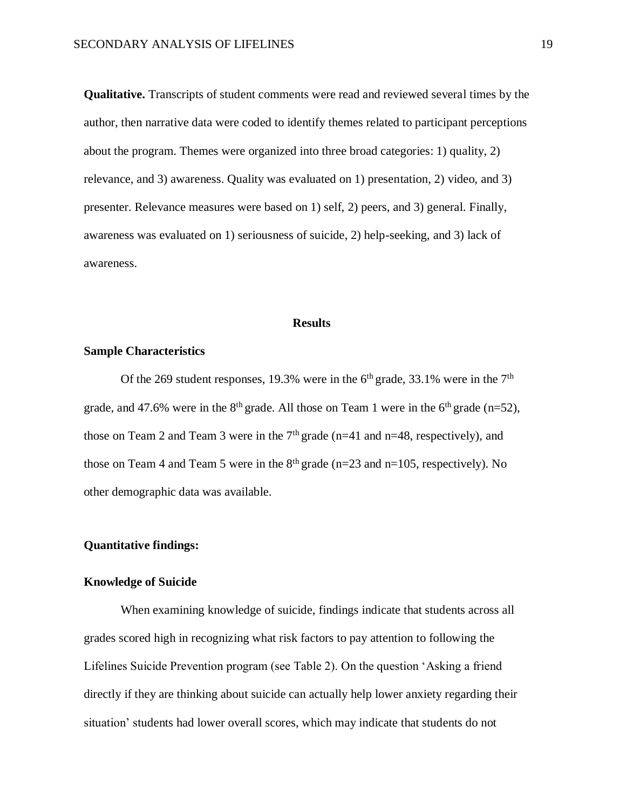**Qualitative.** Transcripts of student comments were read and reviewed several times by the author, then narrative data were coded to identify themes related to participant perceptions about the program. Themes were organized into three broad categories: 1) quality, 2) relevance, and 3) awareness. Quality was evaluated on 1) presentation, 2) video, and 3) presenter. Relevance measures were based on 1) self, 2) peers, and 3) general. Finally, awareness was evaluated on 1) seriousness of suicide, 2) help-seeking, and 3) lack of awareness.

#### **Results**

## <span id="page-26-1"></span><span id="page-26-0"></span>**Sample Characteristics**

Of the 269 student responses, 19.3% were in the  $6<sup>th</sup>$  grade, 33.1% were in the  $7<sup>th</sup>$ grade, and 47.6% were in the  $8<sup>th</sup>$  grade. All those on Team 1 were in the  $6<sup>th</sup>$  grade (n=52), those on Team 2 and Team 3 were in the  $7<sup>th</sup>$  grade (n=41 and n=48, respectively), and those on Team 4 and Team 5 were in the  $8<sup>th</sup>$  grade (n=23 and n=105, respectively). No other demographic data was available.

## **Quantitative findings:**

#### **Knowledge of Suicide**

When examining knowledge of suicide, findings indicate that students across all grades scored high in recognizing what risk factors to pay attention to following the Lifelines Suicide Prevention program (see Table 2). On the question 'Asking a friend directly if they are thinking about suicide can actually help lower anxiety regarding their situation' students had lower overall scores, which may indicate that students do not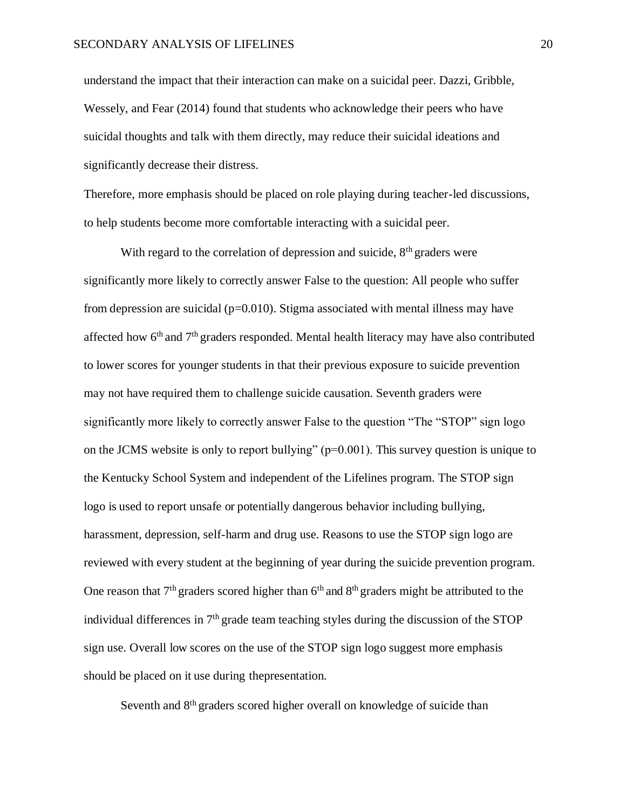understand the impact that their interaction can make on a suicidal peer. Dazzi, Gribble, Wessely, and Fear (2014) found that students who acknowledge their peers who have suicidal thoughts and talk with them directly, may reduce their suicidal ideations and significantly decrease their distress.

Therefore, more emphasis should be placed on role playing during teacher-led discussions, to help students become more comfortable interacting with a suicidal peer.

With regard to the correlation of depression and suicide,  $8<sup>th</sup>$  graders were significantly more likely to correctly answer False to the question: All people who suffer from depression are suicidal ( $p=0.010$ ). Stigma associated with mental illness may have affected how  $6<sup>th</sup>$  and  $7<sup>th</sup>$  graders responded. Mental health literacy may have also contributed to lower scores for younger students in that their previous exposure to suicide prevention may not have required them to challenge suicide causation. Seventh graders were significantly more likely to correctly answer False to the question "The "STOP" sign logo on the JCMS website is only to report bullying" (p=0.001). This survey question is unique to the Kentucky School System and independent of the Lifelines program. The STOP sign logo is used to report unsafe or potentially dangerous behavior including bullying, harassment, depression, self-harm and drug use. Reasons to use the STOP sign logo are reviewed with every student at the beginning of year during the suicide prevention program. One reason that  $7<sup>th</sup>$  graders scored higher than  $6<sup>th</sup>$  and  $8<sup>th</sup>$  graders might be attributed to the individual differences in  $7<sup>th</sup>$  grade team teaching styles during the discussion of the STOP sign use. Overall low scores on the use of the STOP sign logo suggest more emphasis should be placed on it use during thepresentation.

Seventh and 8<sup>th</sup> graders scored higher overall on knowledge of suicide than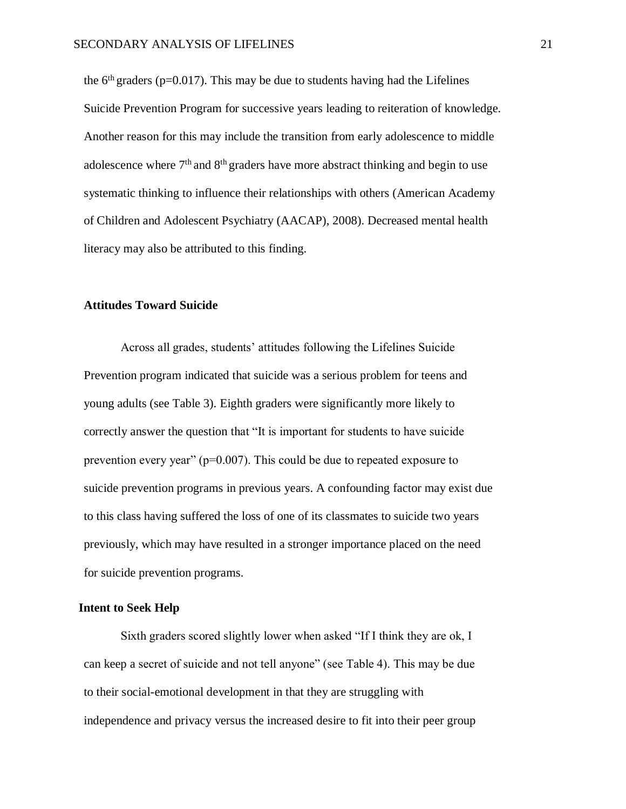the  $6<sup>th</sup>$  graders (p=0.017). This may be due to students having had the Lifelines Suicide Prevention Program for successive years leading to reiteration of knowledge. Another reason for this may include the transition from early adolescence to middle adolescence where  $7<sup>th</sup>$  and  $8<sup>th</sup>$  graders have more abstract thinking and begin to use systematic thinking to influence their relationships with others (American Academy of Children and Adolescent Psychiatry (AACAP), 2008). Decreased mental health literacy may also be attributed to this finding.

## **Attitudes Toward Suicide**

Across all grades, students' attitudes following the Lifelines Suicide Prevention program indicated that suicide was a serious problem for teens and young adults (see Table 3). Eighth graders were significantly more likely to correctly answer the question that "It is important for students to have suicide prevention every year" (p=0.007). This could be due to repeated exposure to suicide prevention programs in previous years. A confounding factor may exist due to this class having suffered the loss of one of its classmates to suicide two years previously, which may have resulted in a stronger importance placed on the need for suicide prevention programs.

## **Intent to Seek Help**

Sixth graders scored slightly lower when asked "If I think they are ok, I can keep a secret of suicide and not tell anyone" (see Table 4). This may be due to their social-emotional development in that they are struggling with independence and privacy versus the increased desire to fit into their peer group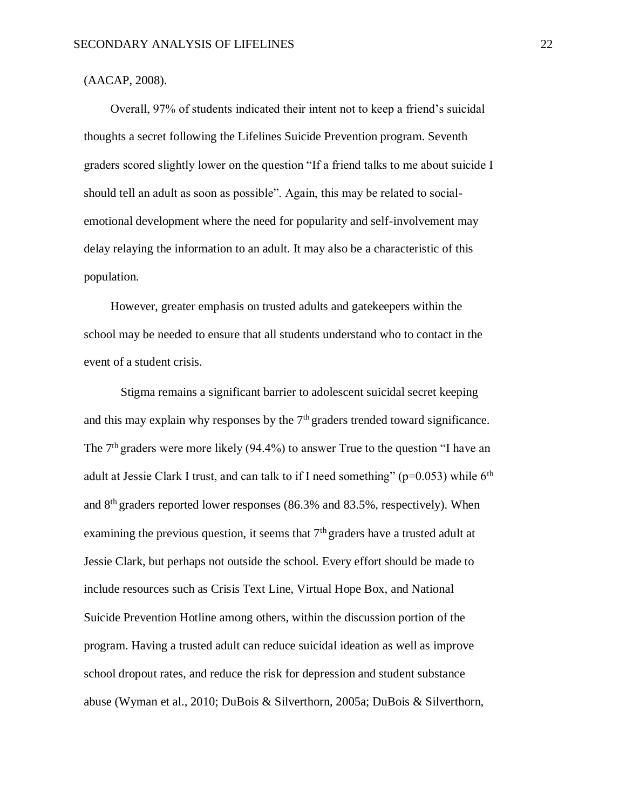## (AACAP, 2008).

Overall, 97% of students indicated their intent not to keep a friend's suicidal thoughts a secret following the Lifelines Suicide Prevention program. Seventh graders scored slightly lower on the question "If a friend talks to me about suicide I should tell an adult as soon as possible". Again, this may be related to socialemotional development where the need for popularity and self-involvement may delay relaying the information to an adult. It may also be a characteristic of this population.

However, greater emphasis on trusted adults and gatekeepers within the school may be needed to ensure that all students understand who to contact in the event of a student crisis.

Stigma remains a significant barrier to adolescent suicidal secret keeping and this may explain why responses by the  $7<sup>th</sup>$  graders trended toward significance. The  $7<sup>th</sup>$  graders were more likely (94.4%) to answer True to the question "I have an adult at Jessie Clark I trust, and can talk to if I need something" ( $p=0.053$ ) while  $6<sup>th</sup>$ and 8th graders reported lower responses (86.3% and 83.5%, respectively). When examining the previous question, it seems that 7<sup>th</sup> graders have a trusted adult at Jessie Clark, but perhaps not outside the school. Every effort should be made to include resources such as Crisis Text Line, Virtual Hope Box, and National Suicide Prevention Hotline among others, within the discussion portion of the program. Having a trusted adult can reduce suicidal ideation as well as improve school dropout rates, and reduce the risk for depression and student substance abuse (Wyman et al., 2010; DuBois & Silverthorn, 2005a; DuBois & Silverthorn,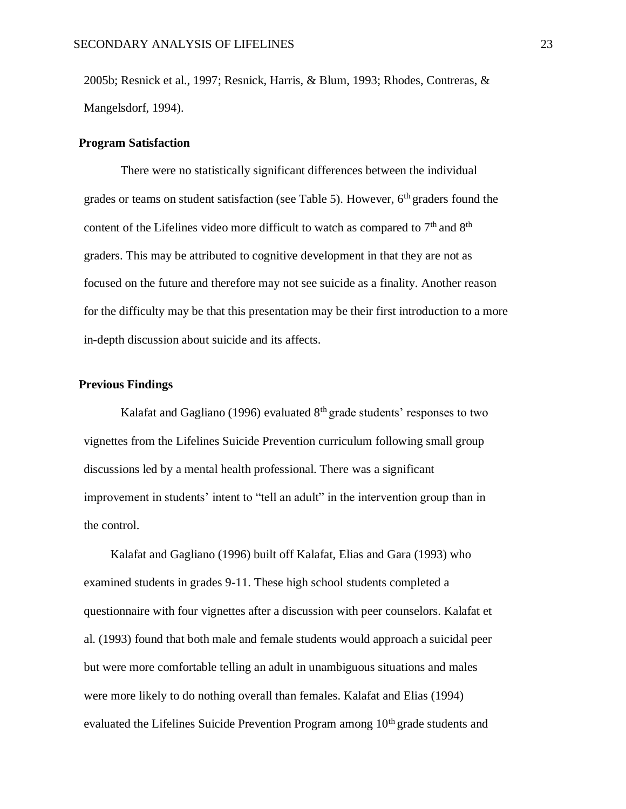2005b; Resnick et al., 1997; Resnick, Harris, & Blum, 1993; Rhodes, Contreras, & Mangelsdorf, 1994).

## **Program Satisfaction**

There were no statistically significant differences between the individual grades or teams on student satisfaction (see Table 5). However, 6th graders found the content of the Lifelines video more difficult to watch as compared to  $7<sup>th</sup>$  and  $8<sup>th</sup>$ graders. This may be attributed to cognitive development in that they are not as focused on the future and therefore may not see suicide as a finality. Another reason for the difficulty may be that this presentation may be their first introduction to a more in-depth discussion about suicide and its affects.

## **Previous Findings**

Kalafat and Gagliano (1996) evaluated  $8<sup>th</sup>$  grade students' responses to two vignettes from the Lifelines Suicide Prevention curriculum following small group discussions led by a mental health professional. There was a significant improvement in students' intent to "tell an adult" in the intervention group than in the control.

Kalafat and Gagliano (1996) built off Kalafat, Elias and Gara (1993) who examined students in grades 9-11. These high school students completed a questionnaire with four vignettes after a discussion with peer counselors. Kalafat et al. (1993) found that both male and female students would approach a suicidal peer but were more comfortable telling an adult in unambiguous situations and males were more likely to do nothing overall than females. Kalafat and Elias (1994) evaluated the Lifelines Suicide Prevention Program among  $10<sup>th</sup>$  grade students and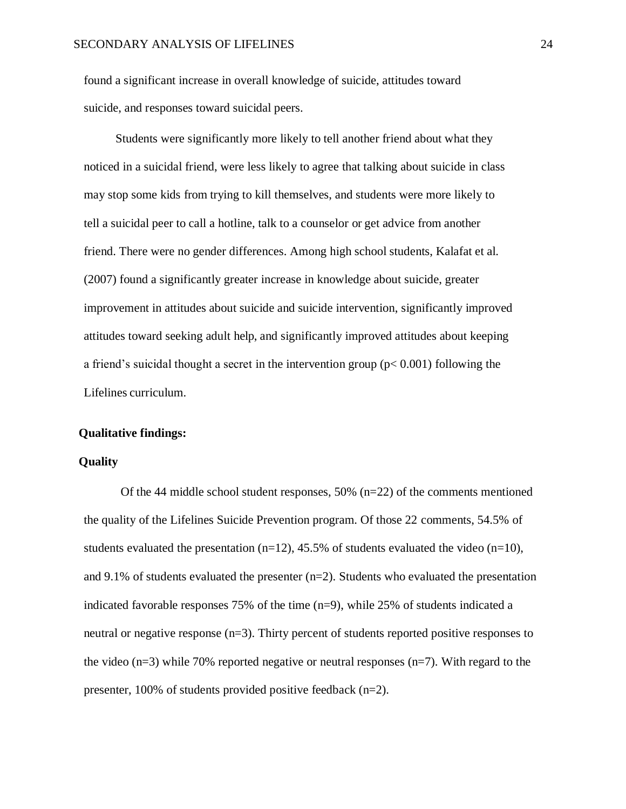found a significant increase in overall knowledge of suicide, attitudes toward suicide, and responses toward suicidal peers.

Students were significantly more likely to tell another friend about what they noticed in a suicidal friend, were less likely to agree that talking about suicide in class may stop some kids from trying to kill themselves, and students were more likely to tell a suicidal peer to call a hotline, talk to a counselor or get advice from another friend. There were no gender differences. Among high school students, Kalafat et al. (2007) found a significantly greater increase in knowledge about suicide, greater improvement in attitudes about suicide and suicide intervention, significantly improved attitudes toward seeking adult help, and significantly improved attitudes about keeping a friend's suicidal thought a secret in the intervention group ( $p < 0.001$ ) following the Lifelines curriculum.

## **Qualitative findings:**

## **Quality**

Of the 44 middle school student responses, 50% (n=22) of the comments mentioned the quality of the Lifelines Suicide Prevention program. Of those 22 comments, 54.5% of students evaluated the presentation  $(n=12)$ , 45.5% of students evaluated the video  $(n=10)$ , and 9.1% of students evaluated the presenter  $(n=2)$ . Students who evaluated the presentation indicated favorable responses 75% of the time (n=9), while 25% of students indicated a neutral or negative response (n=3). Thirty percent of students reported positive responses to the video ( $n=3$ ) while 70% reported negative or neutral responses ( $n=7$ ). With regard to the presenter, 100% of students provided positive feedback (n=2).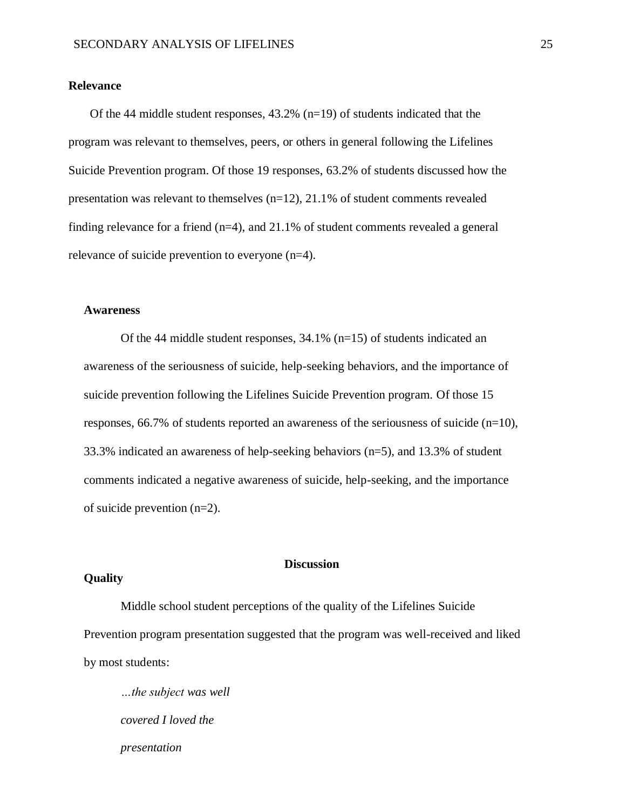## **Relevance**

Of the 44 middle student responses, 43.2% (n=19) of students indicated that the program was relevant to themselves, peers, or others in general following the Lifelines Suicide Prevention program. Of those 19 responses, 63.2% of students discussed how the presentation was relevant to themselves (n=12), 21.1% of student comments revealed finding relevance for a friend  $(n=4)$ , and 21.1% of student comments revealed a general relevance of suicide prevention to everyone (n=4).

## **Awareness**

Of the 44 middle student responses,  $34.1\%$  (n=15) of students indicated an awareness of the seriousness of suicide, help-seeking behaviors, and the importance of suicide prevention following the Lifelines Suicide Prevention program. Of those 15 responses,  $66.7\%$  of students reported an awareness of the seriousness of suicide (n=10), 33.3% indicated an awareness of help-seeking behaviors (n=5), and 13.3% of student comments indicated a negative awareness of suicide, help-seeking, and the importance of suicide prevention (n=2).

## **Discussion**

#### <span id="page-32-0"></span>**Quality**

Middle school student perceptions of the quality of the Lifelines Suicide Prevention program presentation suggested that the program was well-received and liked by most students:

*…the subject was well covered I loved the presentation*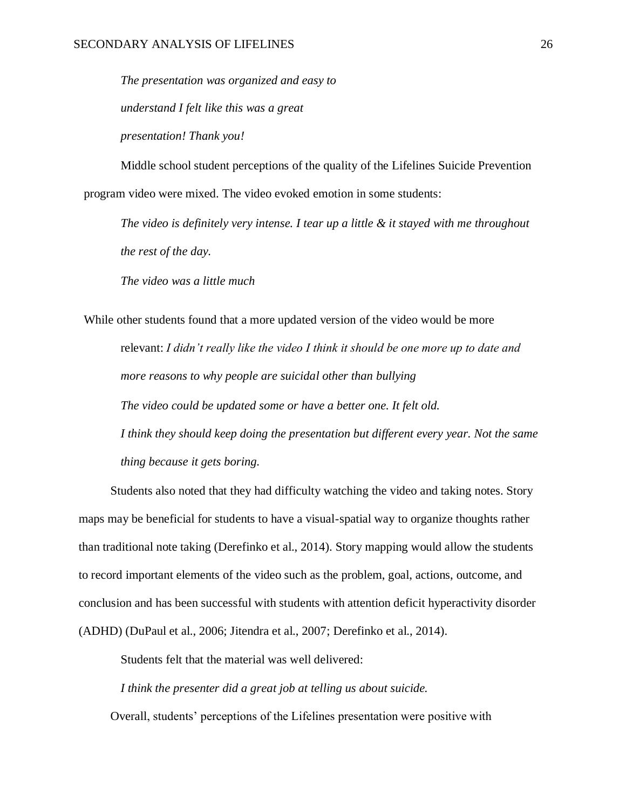*The presentation was organized and easy to understand I felt like this was a great* 

*presentation! Thank you!*

Middle school student perceptions of the quality of the Lifelines Suicide Prevention program video were mixed. The video evoked emotion in some students:

*The video is definitely very intense. I tear up a little & it stayed with me throughout the rest of the day.*

*The video was a little much*

While other students found that a more updated version of the video would be more relevant: *I didn't really like the video I think it should be one more up to date and more reasons to why people are suicidal other than bullying The video could be updated some or have a better one. It felt old. I think they should keep doing the presentation but different every year. Not the same thing because it gets boring.*

Students also noted that they had difficulty watching the video and taking notes. Story maps may be beneficial for students to have a visual-spatial way to organize thoughts rather than traditional note taking (Derefinko et al., 2014). Story mapping would allow the students to record important elements of the video such as the problem, goal, actions, outcome, and conclusion and has been successful with students with attention deficit hyperactivity disorder (ADHD) [\(DuPaul et al., 2006;](https://www.ncbi.nlm.nih.gov/pmc/articles/PMC4244711/#R12) [Jitendra et al., 2007;](https://www.ncbi.nlm.nih.gov/pmc/articles/PMC4244711/#R25) Derefinko et al., 2014).

Students felt that the material was well delivered:

*I think the presenter did a great job at telling us about suicide.*

Overall, students' perceptions of the Lifelines presentation were positive with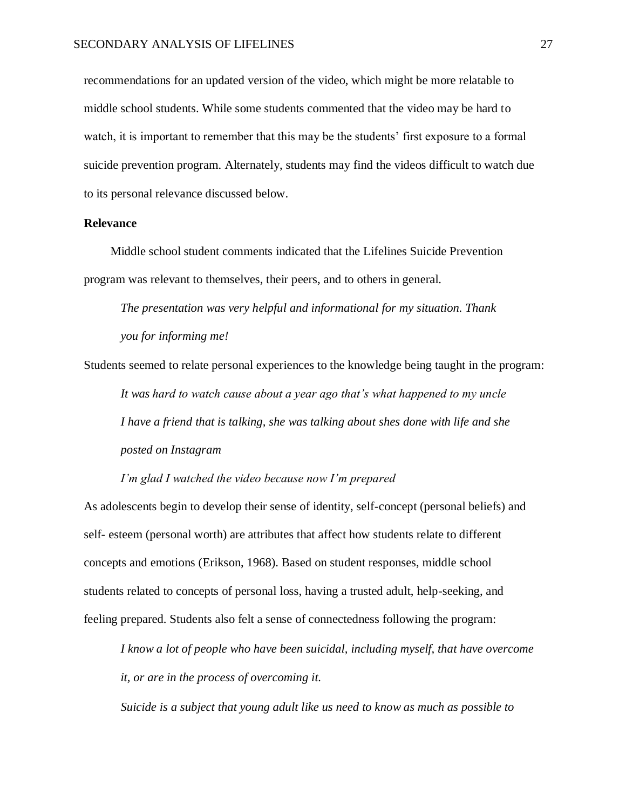recommendations for an updated version of the video, which might be more relatable to middle school students. While some students commented that the video may be hard to watch, it is important to remember that this may be the students' first exposure to a formal suicide prevention program. Alternately, students may find the videos difficult to watch due to its personal relevance discussed below.

## <span id="page-34-0"></span>**Relevance**

Middle school student comments indicated that the Lifelines Suicide Prevention program was relevant to themselves, their peers, and to others in general.

*The presentation was very helpful and informational for my situation. Thank you for informing me!*

Students seemed to relate personal experiences to the knowledge being taught in the program: *It was hard to watch cause about a year ago that's what happened to my uncle I have a friend that is talking, she was talking about shes done with life and she posted on Instagram*

*I'm glad I watched the video because now I'm prepared*

As adolescents begin to develop their sense of identity, self-concept (personal beliefs) and self- esteem (personal worth) are attributes that affect how students relate to different concepts and emotions (Erikson, 1968). Based on student responses, middle school students related to concepts of personal loss, having a trusted adult, help-seeking, and feeling prepared. Students also felt a sense of connectedness following the program:

*I know a lot of people who have been suicidal, including myself, that have overcome it, or are in the process of overcoming it.*

*Suicide is a subject that young adult like us need to know as much as possible to*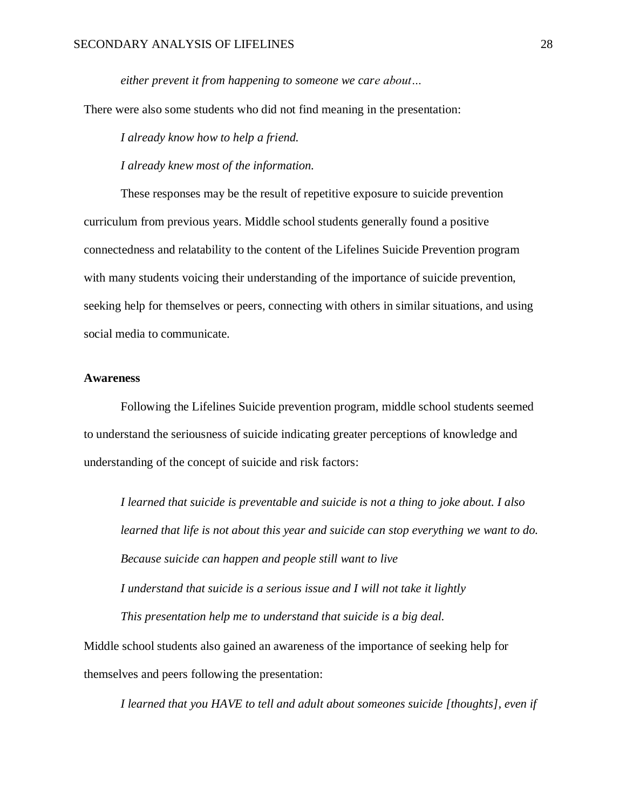*either prevent it from happening to someone we care about…*

There were also some students who did not find meaning in the presentation:

*I already know how to help a friend.*

*I already knew most of the information.*

These responses may be the result of repetitive exposure to suicide prevention curriculum from previous years. Middle school students generally found a positive connectedness and relatability to the content of the Lifelines Suicide Prevention program with many students voicing their understanding of the importance of suicide prevention, seeking help for themselves or peers, connecting with others in similar situations, and using social media to communicate.

## <span id="page-35-0"></span>**Awareness**

Following the Lifelines Suicide prevention program, middle school students seemed to understand the seriousness of suicide indicating greater perceptions of knowledge and understanding of the concept of suicide and risk factors:

*I learned that suicide is preventable and suicide is not a thing to joke about. I also learned that life is not about this year and suicide can stop everything we want to do. Because suicide can happen and people still want to live I understand that suicide is a serious issue and I will not take it lightly This presentation help me to understand that suicide is a big deal.*

Middle school students also gained an awareness of the importance of seeking help for themselves and peers following the presentation:

*I learned that you HAVE to tell and adult about someones suicide [thoughts], even if*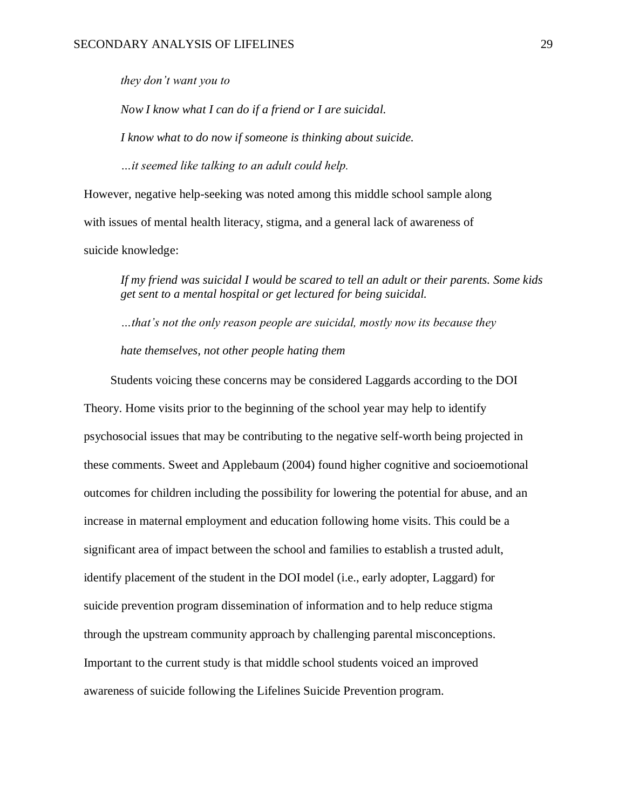*they don't want you to*

*Now I know what I can do if a friend or I are suicidal. I know what to do now if someone is thinking about suicide. …it seemed like talking to an adult could help.*

However, negative help-seeking was noted among this middle school sample along with issues of mental health literacy, stigma, and a general lack of awareness of suicide knowledge:

*If my friend was suicidal I would be scared to tell an adult or their parents. Some kids get sent to a mental hospital or get lectured for being suicidal.*

*…that's not the only reason people are suicidal, mostly now its because they hate themselves, not other people hating them*

Students voicing these concerns may be considered Laggards according to the DOI Theory. Home visits prior to the beginning of the school year may help to identify psychosocial issues that may be contributing to the negative self-worth being projected in these comments. Sweet and Applebaum (2004) found higher cognitive and socioemotional outcomes for children including the possibility for lowering the potential for abuse, and an increase in maternal employment and education following home visits. This could be a significant area of impact between the school and families to establish a trusted adult, identify placement of the student in the DOI model (i.e., early adopter, Laggard) for suicide prevention program dissemination of information and to help reduce stigma through the upstream community approach by challenging parental misconceptions. Important to the current study is that middle school students voiced an improved awareness of suicide following the Lifelines Suicide Prevention program.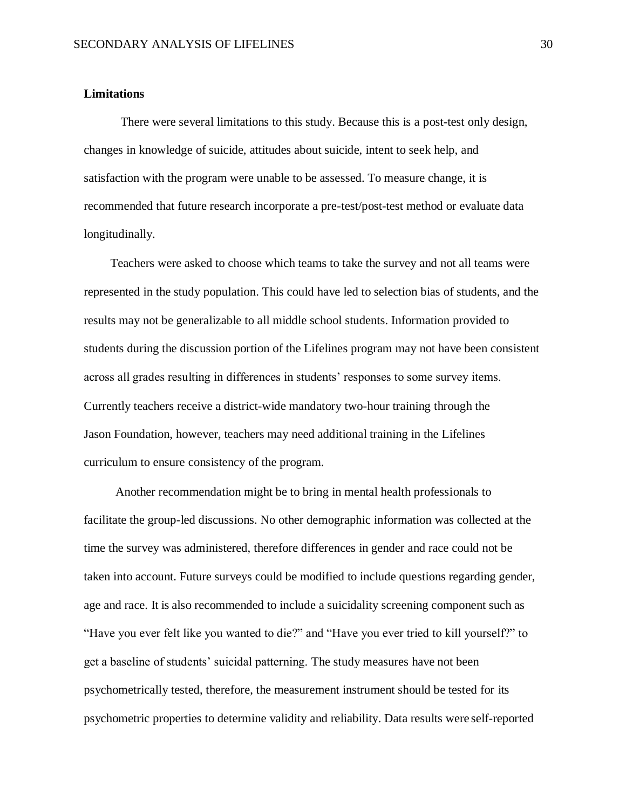## <span id="page-37-0"></span>**Limitations**

There were several limitations to this study. Because this is a post-test only design, changes in knowledge of suicide, attitudes about suicide, intent to seek help, and satisfaction with the program were unable to be assessed. To measure change, it is recommended that future research incorporate a pre-test/post-test method or evaluate data longitudinally.

Teachers were asked to choose which teams to take the survey and not all teams were represented in the study population. This could have led to selection bias of students, and the results may not be generalizable to all middle school students. Information provided to students during the discussion portion of the Lifelines program may not have been consistent across all grades resulting in differences in students' responses to some survey items. Currently teachers receive a district-wide mandatory two-hour training through the Jason Foundation, however, teachers may need additional training in the Lifelines curriculum to ensure consistency of the program.

Another recommendation might be to bring in mental health professionals to facilitate the group-led discussions. No other demographic information was collected at the time the survey was administered, therefore differences in gender and race could not be taken into account. Future surveys could be modified to include questions regarding gender, age and race. It is also recommended to include a suicidality screening component such as "Have you ever felt like you wanted to die?" and "Have you ever tried to kill yourself?" to get a baseline of students' suicidal patterning. The study measures have not been psychometrically tested, therefore, the measurement instrument should be tested for its psychometric properties to determine validity and reliability. Data results were self-reported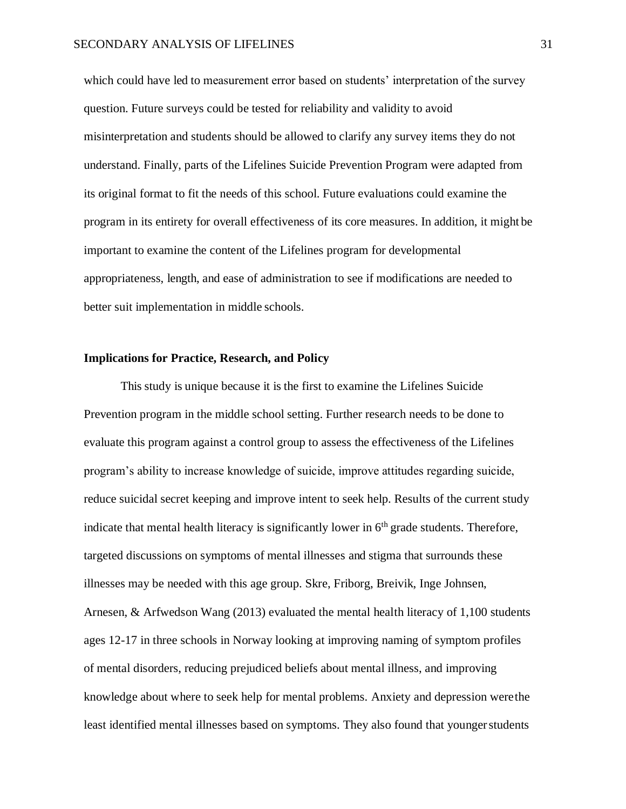which could have led to measurement error based on students' interpretation of the survey question. Future surveys could be tested for reliability and validity to avoid misinterpretation and students should be allowed to clarify any survey items they do not understand. Finally, parts of the Lifelines Suicide Prevention Program were adapted from its original format to fit the needs of this school. Future evaluations could examine the program in its entirety for overall effectiveness of its core measures. In addition, it might be important to examine the content of the Lifelines program for developmental appropriateness, length, and ease of administration to see if modifications are needed to better suit implementation in middle schools.

## <span id="page-38-0"></span>**Implications for Practice, Research, and Policy**

This study is unique because it is the first to examine the Lifelines Suicide Prevention program in the middle school setting. Further research needs to be done to evaluate this program against a control group to assess the effectiveness of the Lifelines program's ability to increase knowledge of suicide, improve attitudes regarding suicide, reduce suicidal secret keeping and improve intent to seek help. Results of the current study indicate that mental health literacy is significantly lower in  $6<sup>th</sup>$  grade students. Therefore, targeted discussions on symptoms of mental illnesses and stigma that surrounds these illnesses may be needed with this age group. Skre, Friborg, Breivik, Inge Johnsen, Arnesen, & Arfwedson Wang (2013) evaluated the mental health literacy of 1,100 students ages 12-17 in three schools in Norway looking at improving naming of symptom profiles of mental disorders, reducing prejudiced beliefs about mental illness, and improving knowledge about where to seek help for mental problems. Anxiety and depression werethe least identified mental illnesses based on symptoms. They also found that youngerstudents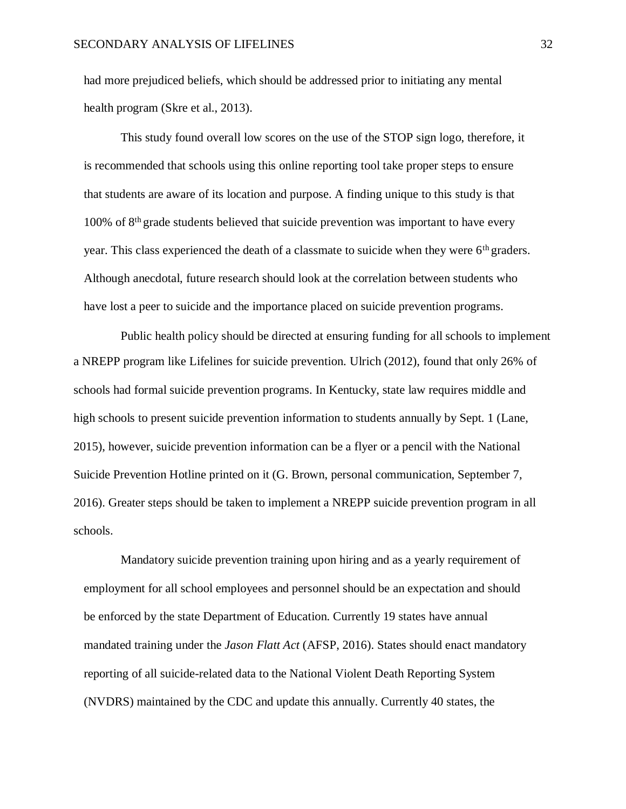had more prejudiced beliefs, which should be addressed prior to initiating any mental health program (Skre et al., 2013).

This study found overall low scores on the use of the STOP sign logo, therefore, it is recommended that schools using this online reporting tool take proper steps to ensure that students are aware of its location and purpose. A finding unique to this study is that 100% of 8th grade students believed that suicide prevention was important to have every year. This class experienced the death of a classmate to suicide when they were 6<sup>th</sup> graders. Although anecdotal, future research should look at the correlation between students who have lost a peer to suicide and the importance placed on suicide prevention programs.

Public health policy should be directed at ensuring funding for all schools to implement a NREPP program like Lifelines for suicide prevention. Ulrich (2012), found that only 26% of schools had formal suicide prevention programs. In Kentucky, state law requires middle and high schools to present suicide prevention information to students annually by Sept. 1 (Lane, 2015), however, suicide prevention information can be a flyer or a pencil with the National Suicide Prevention Hotline printed on it (G. Brown, personal communication, September 7, 2016). Greater steps should be taken to implement a NREPP suicide prevention program in all schools.

Mandatory suicide prevention training upon hiring and as a yearly requirement of employment for all school employees and personnel should be an expectation and should be enforced by the state Department of Education. Currently 19 states have annual mandated training under the *Jason Flatt Act* (AFSP, 2016). States should enact mandatory reporting of all suicide-related data to the National Violent Death Reporting System (NVDRS) maintained by the CDC and update this annually. Currently 40 states, the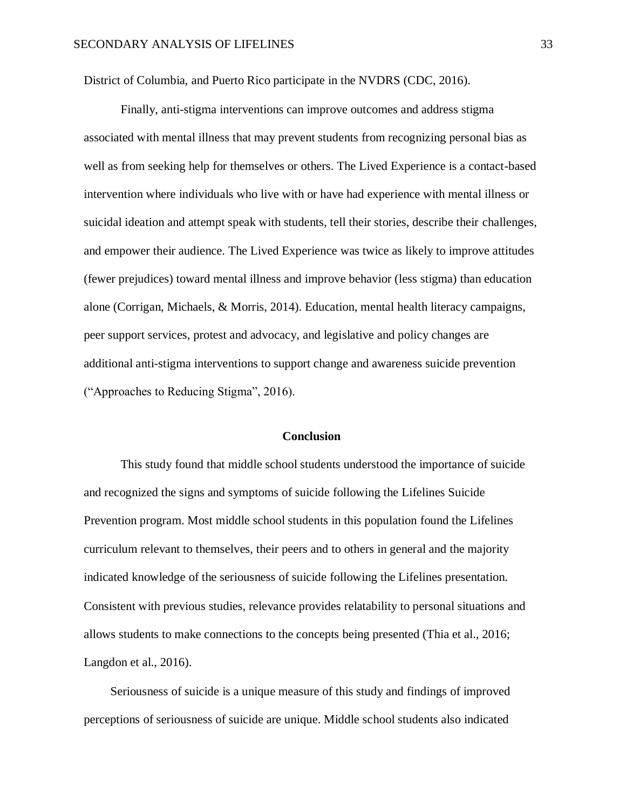District of Columbia, and Puerto Rico participate in the NVDRS (CDC, 2016).

Finally, anti-stigma interventions can improve outcomes and address stigma associated with mental illness that may prevent students from recognizing personal bias as well as from seeking help for themselves or others. The Lived Experience is a contact-based intervention where individuals who live with or have had experience with mental illness or suicidal ideation and attempt speak with students, tell their stories, describe their challenges, and empower their audience. The Lived Experience was twice as likely to improve attitudes (fewer prejudices) toward mental illness and improve behavior (less stigma) than education alone (Corrigan, Michaels, & Morris, 2014). Education, mental health literacy campaigns, peer support services, protest and advocacy, and legislative and policy changes are additional anti-stigma interventions to support change and awareness suicide prevention ("Approaches to Reducing Stigma", 2016).

#### **Conclusion**

<span id="page-40-0"></span>This study found that middle school students understood the importance of suicide and recognized the signs and symptoms of suicide following the Lifelines Suicide Prevention program. Most middle school students in this population found the Lifelines curriculum relevant to themselves, their peers and to others in general and the majority indicated knowledge of the seriousness of suicide following the Lifelines presentation. Consistent with previous studies, relevance provides relatability to personal situations and allows students to make connections to the concepts being presented (Thia et al., 2016; Langdon et al., 2016).

Seriousness of suicide is a unique measure of this study and findings of improved perceptions of seriousness of suicide are unique. Middle school students also indicated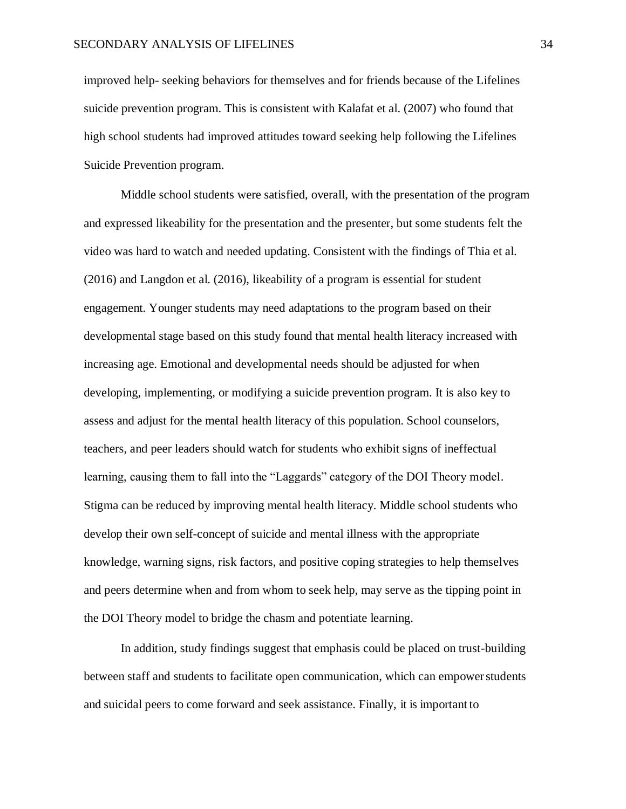improved help- seeking behaviors for themselves and for friends because of the Lifelines suicide prevention program. This is consistent with Kalafat et al. (2007) who found that high school students had improved attitudes toward seeking help following the Lifelines Suicide Prevention program.

Middle school students were satisfied, overall, with the presentation of the program and expressed likeability for the presentation and the presenter, but some students felt the video was hard to watch and needed updating. Consistent with the findings of Thia et al. (2016) and Langdon et al. (2016), likeability of a program is essential for student engagement. Younger students may need adaptations to the program based on their developmental stage based on this study found that mental health literacy increased with increasing age. Emotional and developmental needs should be adjusted for when developing, implementing, or modifying a suicide prevention program. It is also key to assess and adjust for the mental health literacy of this population. School counselors, teachers, and peer leaders should watch for students who exhibit signs of ineffectual learning, causing them to fall into the "Laggards" category of the DOI Theory model. Stigma can be reduced by improving mental health literacy. Middle school students who develop their own self-concept of suicide and mental illness with the appropriate knowledge, warning signs, risk factors, and positive coping strategies to help themselves and peers determine when and from whom to seek help, may serve as the tipping point in the DOI Theory model to bridge the chasm and potentiate learning.

In addition, study findings suggest that emphasis could be placed on trust-building between staff and students to facilitate open communication, which can empowerstudents and suicidal peers to come forward and seek assistance. Finally, it is important to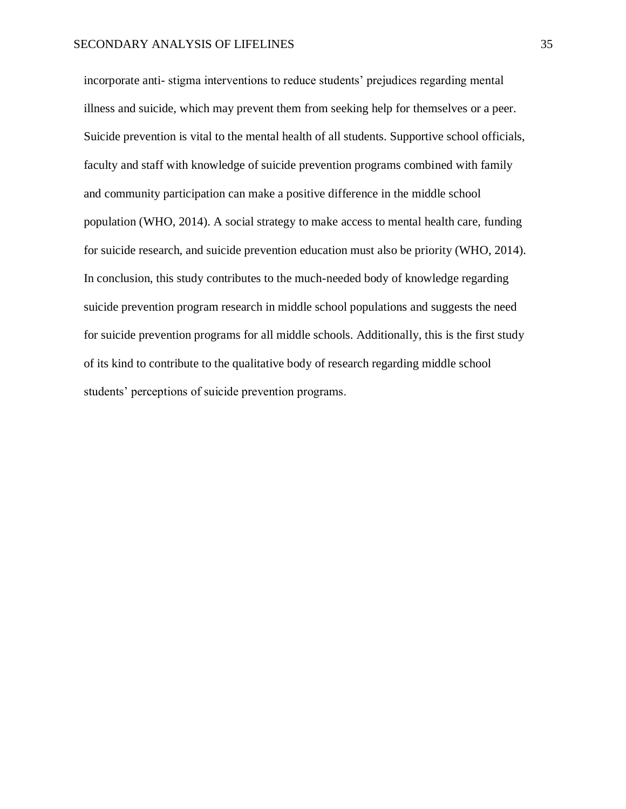incorporate anti- stigma interventions to reduce students' prejudices regarding mental illness and suicide, which may prevent them from seeking help for themselves or a peer. Suicide prevention is vital to the mental health of all students. Supportive school officials, faculty and staff with knowledge of suicide prevention programs combined with family and community participation can make a positive difference in the middle school population (WHO, 2014). A social strategy to make access to mental health care, funding for suicide research, and suicide prevention education must also be priority (WHO, 2014). In conclusion, this study contributes to the much-needed body of knowledge regarding suicide prevention program research in middle school populations and suggests the need for suicide prevention programs for all middle schools. Additionally, this is the first study of its kind to contribute to the qualitative body of research regarding middle school students' perceptions of suicide prevention programs.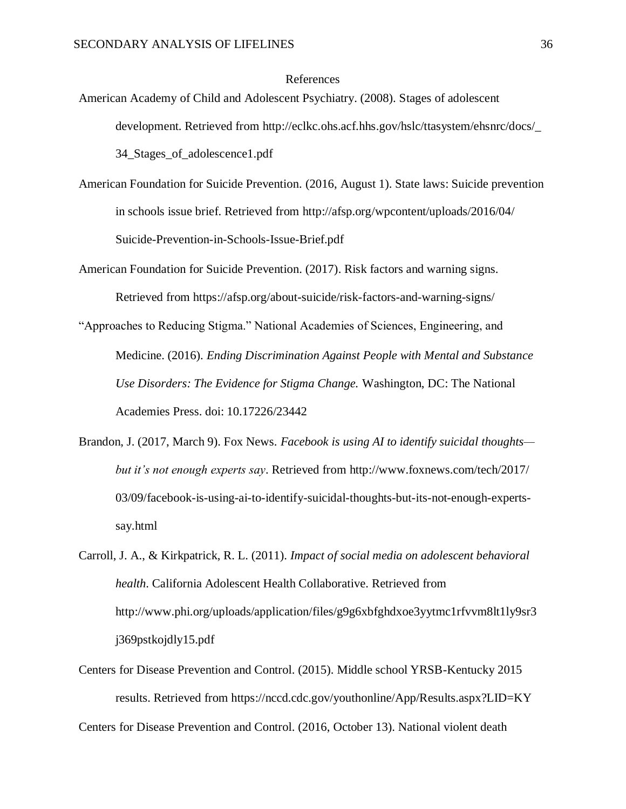## References

- American Academy of Child and Adolescent Psychiatry. (2008). Stages of adolescent development. Retrieved from [http://eclkc.ohs.acf.hhs.gov/hslc/ttasystem/ehsnrc/docs/\\_](http://eclkc.ohs.acf.hhs.gov/hslc/ttasystem/ehsnrc/docs/_) 34\_Stages\_of\_adolescence1.pdf
- American Foundation for Suicide Prevention. (2016, August 1). State laws: Suicide prevention in schools issue brief. Retrieved from<http://afsp.org/wpcontent/uploads/2016/04/> Suicide-Prevention-in-Schools-Issue-Brief.pdf
- American Foundation for Suicide Prevention. (2017). Risk factors and warning signs. Retrieved from https://afsp.org/about-suicide/risk-factors-and-warning-signs/
- "Approaches to Reducing Stigma." National Academies of Sciences, Engineering, and Medicine. (2016). *Ending Discrimination Against People with Mental and Substance Use Disorders: The Evidence for Stigma Change.* Washington, DC: The National Academies Press. doi: 10.17226/23442
- Brandon, J. (2017, March 9). Fox News. *Facebook is using AI to identify suicidal thoughts but it's not enough experts say*. Retrieved from<http://www.foxnews.com/tech/2017/> 03/09/facebook-is-using-ai-to-identify-suicidal-thoughts-but-its-not-enough-expertssay.html
- Carroll, J. A., & Kirkpatrick, R. L. (2011). *Impact of social media on adolescent behavioral health*. California Adolescent Health Collaborative. Retrieved fro[m](http://www.phi.org/) [http://www.phi.org/u](http://www.phi.org/)ploads/application/files/g9g6xbfghdxoe3yytmc1rfvvm8lt1ly9sr3 j369pstkojdly15.pdf
- Centers for Disease Prevention and Control. (2015). Middle school YRSB-Kentucky 2015 results. Retrieved from https://nccd.cdc.gov/youthonline/App/Results.aspx?LID=KY

Centers for Disease Prevention and Control. (2016, October 13). National violent death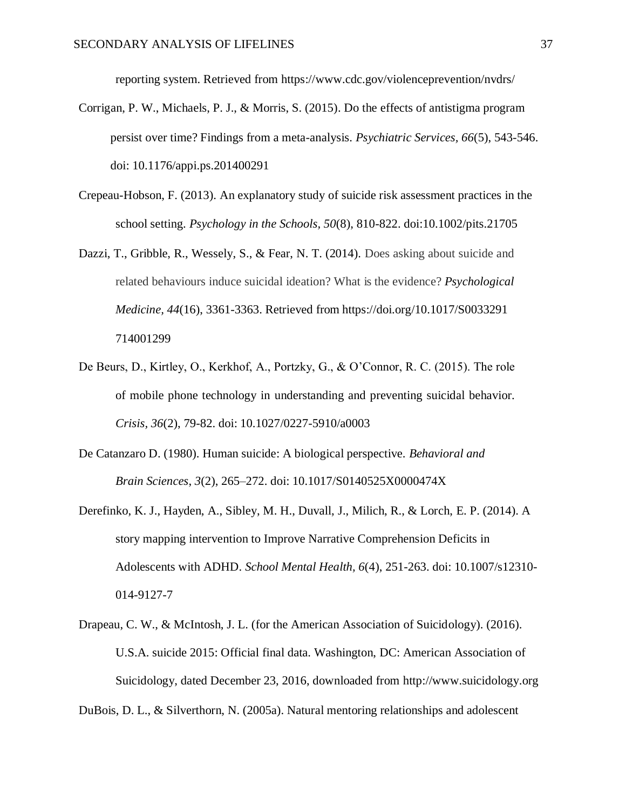reporting system. Retrieved from https:/[/www.cdc.gov/violenceprevention/nvdrs/](http://www.cdc.gov/violenceprevention/nvdrs/)

- Corrigan, P. W., Michaels, P. J., & Morris, S. (2015). Do the effects of antistigma program persist over time? Findings from a meta-analysis. *Psychiatric Services, 66*(5), 543-546. doi: 10.1176/appi.ps.201400291
- Crepeau-Hobson, F. (2013). An explanatory study of suicide risk assessment practices in the school setting. *Psychology in the Schools, 50*(8), 810-822. doi:10.1002/pits.21705
- Dazzi, T., Gribble, R., Wessely, S., & Fear, N. T. (2014). Does asking about suicide and related behaviours induce suicidal ideation? What is the evidence? *Psychological Medicine, 44*(16), 3361-3363. Retrieved from https://doi.org/10.1017/S0033291 714001299
- De Beurs, D., Kirtley, O., Kerkhof, A., Portzky, G., & O'Connor, R. C. (2015). The role of mobile phone technology in understanding and preventing suicidal behavior. *Crisis, 36*(2), 79-82. doi: 10.1027/0227-5910/a0003
- De Catanzaro D. (1980). Human suicide: A biological perspective. *Behavioral and Brain Sciences*, *3*(2), 265–272. doi: 10.1017/S0140525X0000474X
- Derefinko, K. J., Hayden, A., Sibley, M. H., Duvall, J., Milich, R., & Lorch, E. P. (2014). A story mapping intervention to Improve Narrative Comprehension Deficits in Adolescents with ADHD. *School Mental Health, 6*(4), 251-263. doi: 10.1007/s12310- 014-9127-7
- Drapeau, C. W., & McIntosh, J. L. (for the American Association of Suicidology). (2016). U.S.A. suicide 2015: Official final data. Washington, DC: American Association of Suicidology, dated December 23, 2016, downloaded from [http://www.suicidology.org](http://www.suicidology.org/)

DuBois, D. L., & Silverthorn, N. (2005a). Natural mentoring relationships and adolescent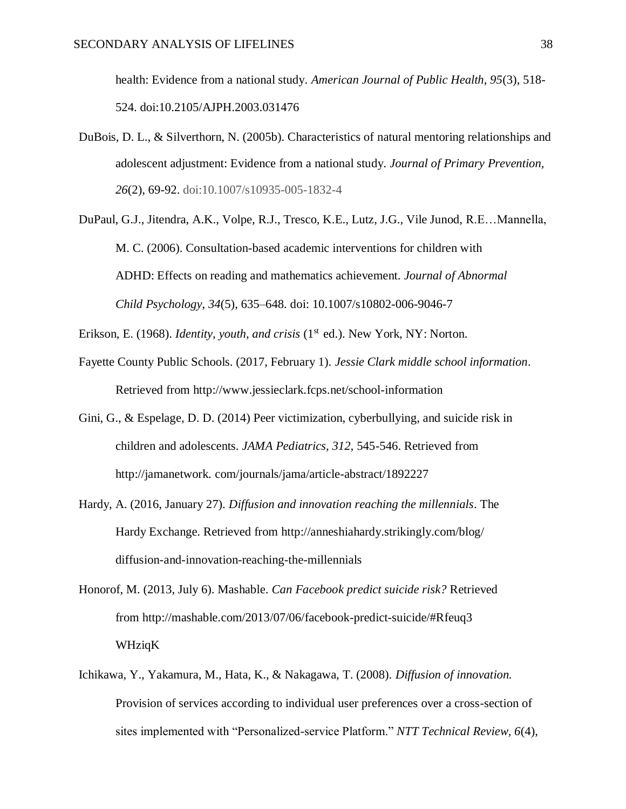health: Evidence from a national study. *American Journal of Public Health, 95*(3), 518- 524. doi:10.2105/AJPH.2003.031476

- DuBois, D. L., & Silverthorn, N. (2005b). Characteristics of natural mentoring relationships and adolescent adjustment: Evidence from a national study. *Journal of Primary Prevention, 26*(2), 69-92. doi:10.1007/s10935-005-1832-4
- DuPaul, G.J., Jitendra, A.K., Volpe, R.J., Tresco, K.E., Lutz, J.G., Vile Junod, R.E…Mannella, M. C. (2006). Consultation-based academic interventions for children with ADHD: Effects on reading and mathematics achievement. *Journal of Abnormal Child Psychology*, *34*(5), 635–648. doi: [10.1007/s10802-006-9046-7](https://doi.org/10.1007/s10802-006-9046-7)

Erikson, E. (1968). *Identity, youth, and crisis* (1<sup>st</sup> ed.). New York, NY: Norton.

- Fayette County Public Schools. (2017, February 1). *Jessie Clark middle school information*. Retrieved from<http://www.jessieclark.fcps.net/school-information>
- Gini, G., & Espelage, D. D. (2014) Peer victimization, cyberbullying, and suicide risk in children and adolescents. *JAMA Pediatrics, 312,* 545-546. Retrieved fro[m](http://jamanetwork/) [http://jamanetwork. c](http://jamanetwork/)om/journals/jama/article-abstract/1892227
- Hardy, A. (2016, January 27). *Diffusion and innovation reaching the millennials*. The Hardy Exchange. Retrieved from<http://anneshiahardy.strikingly.com/blog/> diffusion-and-innovation-reaching-the-millennials
- Honorof, M. (2013, July 6). Mashable. *Can Facebook predict suicide risk?* Retrieved from<http://mashable.com/2013/07/06/facebook-predict-suicide/#Rfeuq3> WHziqK
- Ichikawa, Y., Yakamura, M., Hata, K., & Nakagawa, T. (2008). *Diffusion of innovation.* Provision of services according to individual user preferences over a cross-section of sites implemented with "Personalized-service Platform." *NTT Technical Review, 6*(4),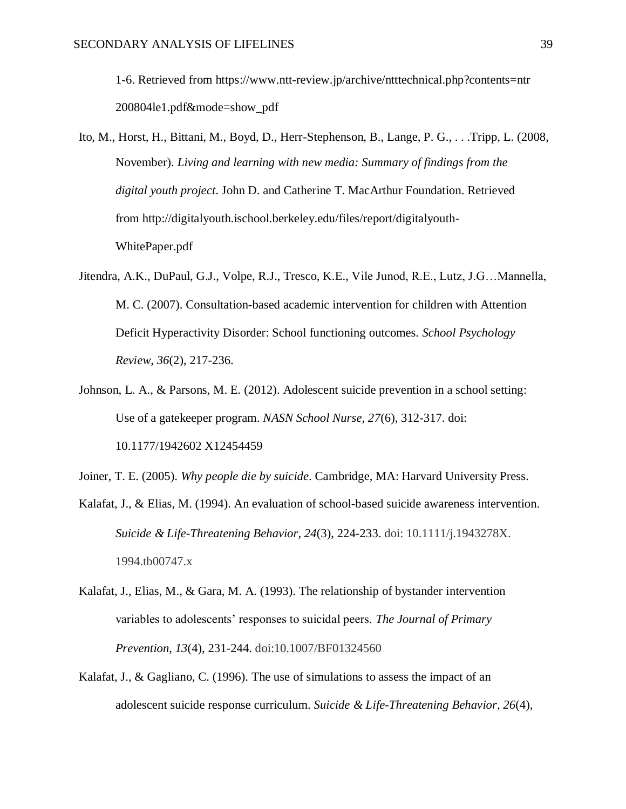1-6. Retrieved from https:/[/www.ntt-review.jp/archive/ntttechnical.php?contents=ntr](http://www.ntt-review.jp/archive/ntttechnical.php?contents=ntr) 200804le1.pdf&mode=show\_pdf

- Ito, M., Horst, H., Bittani, M., Boyd, D., Herr-Stephenson, B., Lange, P. G., . . .Tripp, L. (2008, November). *Living and learning with new media: Summary of findings from the digital youth project*. John D. and Catherine T. MacArthur Foundation. Retrieved from [http://digitalyouth.ischool.berkeley.edu/files/report/digitalyouth-](http://digitalyouth.ischool.berkeley.edu/files/report/digitalyouth-WhitePaper.pdf)[WhitePaper.pdf](http://digitalyouth.ischool.berkeley.edu/files/report/digitalyouth-WhitePaper.pdf)
- Jitendra, A.K., DuPaul, G.J., Volpe, R.J., Tresco, K.E., Vile Junod, R.E., Lutz, J.G…Mannella, M. C. (2007). Consultation-based academic intervention for children with Attention Deficit Hyperactivity Disorder: School functioning outcomes. *School Psychology Review*, *36*(2), 217-236.
- Johnson, L. A., & Parsons, M. E. (2012). Adolescent suicide prevention in a school setting: Use of a gatekeeper program. *NASN School Nurse, 27*(6), 312-317. doi: 10.1177/1942602 X12454459
- Joiner, T. E. (2005). *Why people die by suicide*. Cambridge, MA: Harvard University Press.
- Kalafat, J., & Elias, M. (1994). An evaluation of school-based suicide awareness intervention. *Suicide & Life-Threatening Behavior, 24*(3), 224-233. doi: 10.1111/j.1943278X. 1994.tb00747.x
- Kalafat, J., Elias, M., & Gara, M. A. (1993). The relationship of bystander intervention variables to adolescents' responses to suicidal peers. *The Journal of Primary Prevention, 13*(4), 231-244. doi:10.1007/BF01324560
- Kalafat, J., & Gagliano, C. (1996). The use of simulations to assess the impact of an adolescent suicide response curriculum. *Suicide & Life-Threatening Behavior, 26*(4),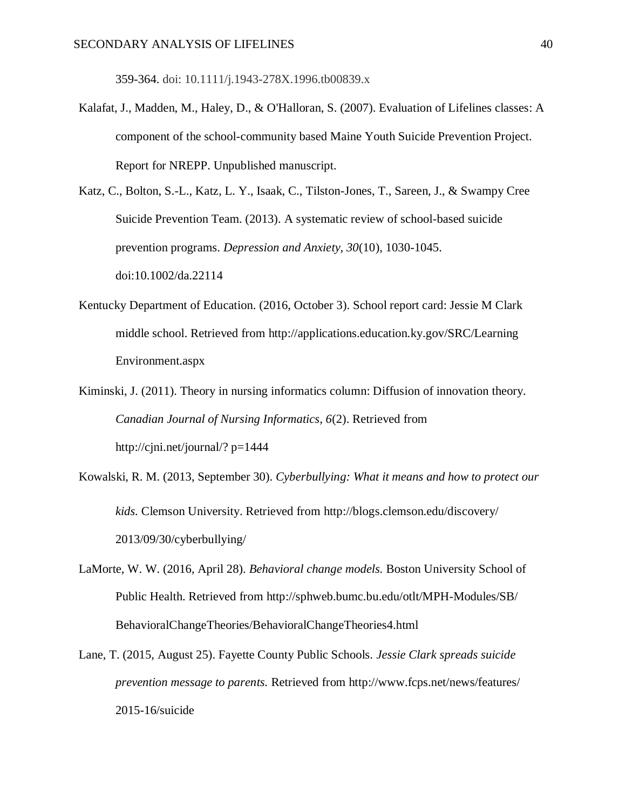359-364. doi: 10.1111/j.1943-278X.1996.tb00839.x

Kalafat, J., Madden, M., Haley, D., & O'Halloran, S. (2007). Evaluation of Lifelines classes: A component of the school-community based Maine Youth Suicide Prevention Project. Report for NREPP. Unpublished manuscript.

Katz, C., Bolton, S.-L., Katz, L. Y., Isaak, C., Tilston-Jones, T., Sareen, J., & Swampy Cree Suicide Prevention Team. (2013). A systematic review of school-based suicide prevention programs. *Depression and Anxiety, 30*(10), 1030-1045. doi:10.1002/da.22114

- Kentucky Department of Education. (2016, October 3). School report card: Jessie M Clark middle school. Retrieved from<http://applications.education.ky.gov/SRC/Learning> Environment.aspx
- Kiminski, J. (2011). Theory in nursing informatics column: Diffusion of innovation theory. *Canadian Journal of Nursing Informatics, 6*(2). Retrieved fro[m](http://cjni.net/journal/) [http://cjni.net/journal/? p](http://cjni.net/journal/)=1444
- Kowalski, R. M. (2013, September 30). *Cyberbullying: What it means and how to protect our kids.* Clemson University. Retrieved from<http://blogs.clemson.edu/discovery/> 2013/09/30/cyberbullying/
- LaMorte, W. W. (2016, April 28). *Behavioral change models.* Boston University School of Public Health. Retrieved from<http://sphweb.bumc.bu.edu/otlt/MPH-Modules/SB/> BehavioralChangeTheories/BehavioralChangeTheories4.html
- Lane, T. (2015, August 25). Fayette County Public Schools. *Jessie Clark spreads suicide prevention message to parents.* Retrieved from<http://www.fcps.net/news/features/> 2015-16/suicide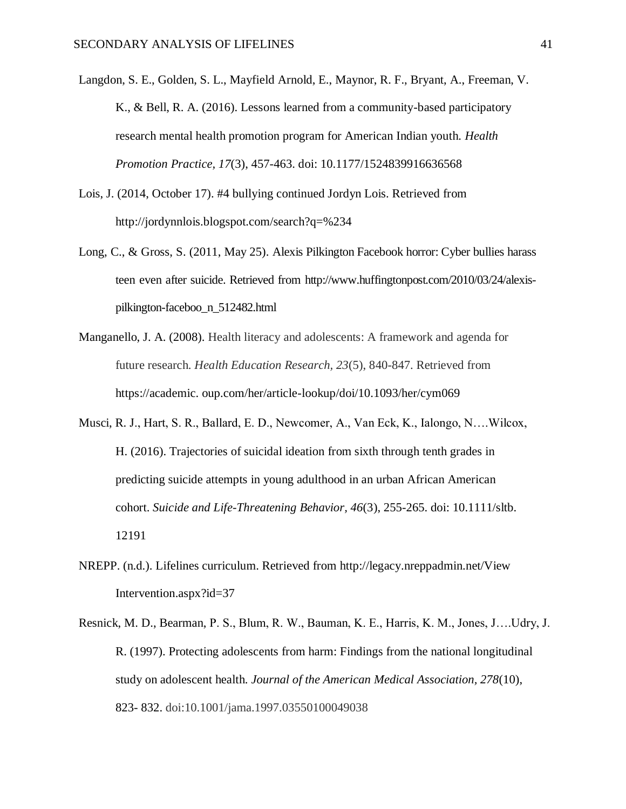- Langdon, S. E., Golden, S. L., Mayfield Arnold, E., Maynor, R. F., Bryant, A., Freeman, V. K., & Bell, R. A. (2016). Lessons learned from a community-based participatory research mental health promotion program for American Indian youth. *Health Promotion Practice, 17*(3), 457-463. doi: 10.1177/1524839916636568
- Lois, J. (2014, October 17). #4 bullying continued Jordyn Lois. Retrieved fro[m](http://jordynnlois.blogspot.com/search?q=%234) <http://jordynnlois.blogspot.com/search?q=%234>
- Long, C., & Gross, S. (2011, May 25). Alexis Pilkington Facebook horror: Cyber bullies harass teen even after suicide. Retrieved from [http://www.huffingtonpost.com/2010/03/24/alexis](http://www.huffingtonpost.com/2010/03/24/alexis-)pilkington-faceboo\_n\_512482.html
- Manganello, J. A. (2008). Health literacy and adolescents: A framework and agenda for future research. *Health Education Research, 23*(5), 840-847. Retrieved from https://academic. oup.com/her/article-lookup/doi/10.1093/her/cym069
- Musci, R. J., Hart, S. R., Ballard, E. D., Newcomer, A., Van Eck, K., Ialongo, N….Wilcox, H. (2016). Trajectories of suicidal ideation from sixth through tenth grades in predicting suicide attempts in young adulthood in an urban African American cohort. *Suicide and Life-Threatening Behavior, 46*(3), 255-265. doi: 10.1111/sltb. 12191
- NREPP. (n.d.). Lifelines curriculum. Retrieved from<http://legacy.nreppadmin.net/View> Intervention.aspx?id=37
- Resnick, M. D., Bearman, P. S., Blum, R. W., Bauman, K. E., Harris, K. M., Jones, J….Udry, J. R. (1997). Protecting adolescents from harm: Findings from the national longitudinal study on adolescent health. *Journal of the American Medical Association, 278*(10), 823- 832. doi:10.1001/jama.1997.03550100049038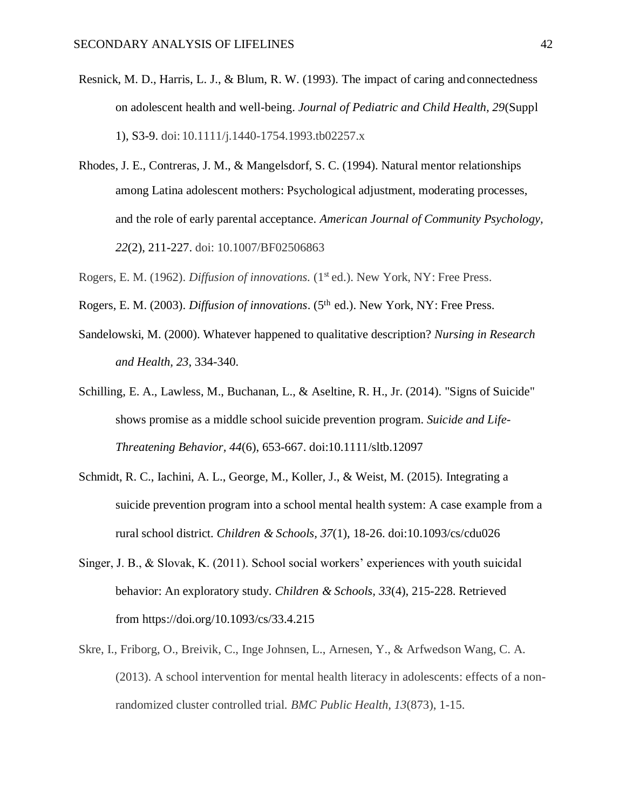- Resnick, M. D., Harris, L. J., & Blum, R. W. (1993). The impact of caring and connectedness on adolescent health and well-being. *Journal of Pediatric and Child Health, 29*(Suppl 1), S3-9. doi: 10.1111/j.1440-1754.1993.tb02257.x
- Rhodes, J. E., Contreras, J. M., & Mangelsdorf, S. C. (1994). Natural mentor relationships among Latina adolescent mothers: Psychological adjustment, moderating processes, and the role of early parental acceptance. *American Journal of Community Psychology, 22*(2), 211-227. doi: 10.1007/BF02506863
- Rogers, E. M. (1962). *Diffusion of innovations.* (1st ed.). New York, NY: Free Press.
- Rogers, E. M. (2003). *Diffusion of innovations*. (5<sup>th</sup> ed.). New York, NY: Free Press.
- Sandelowski, M. (2000). Whatever happened to qualitative description? *Nursing in Research and Health, 23*, 334-340.
- Schilling, E. A., Lawless, M., Buchanan, L., & Aseltine, R. H., Jr. (2014). "Signs of Suicide" shows promise as a middle school suicide prevention program. *Suicide and Life-Threatening Behavior, 44*(6), 653-667. doi:10.1111/sltb.12097
- Schmidt, R. C., Iachini, A. L., George, M., Koller, J., & Weist, M. (2015). Integrating a suicide prevention program into a school mental health system: A case example from a rural school district. *Children & Schools, 37*(1), 18-26. doi:10.1093/cs/cdu026
- Singer, J. B., & Slovak, K. (2011). School social workers' experiences with youth suicidal behavior: An exploratory study. *Children & Schools, 33*(4), 215-228. Retrieved from https://doi.org/10.1093/cs/33.4.215
- Skre, I., Friborg, O., Breivik, C., Inge Johnsen, L., Arnesen, Y., & Arfwedson Wang, C. A. (2013). A school intervention for mental health literacy in adolescents: effects of a nonrandomized cluster controlled trial. *BMC Public Health, 13*(873), 1-15.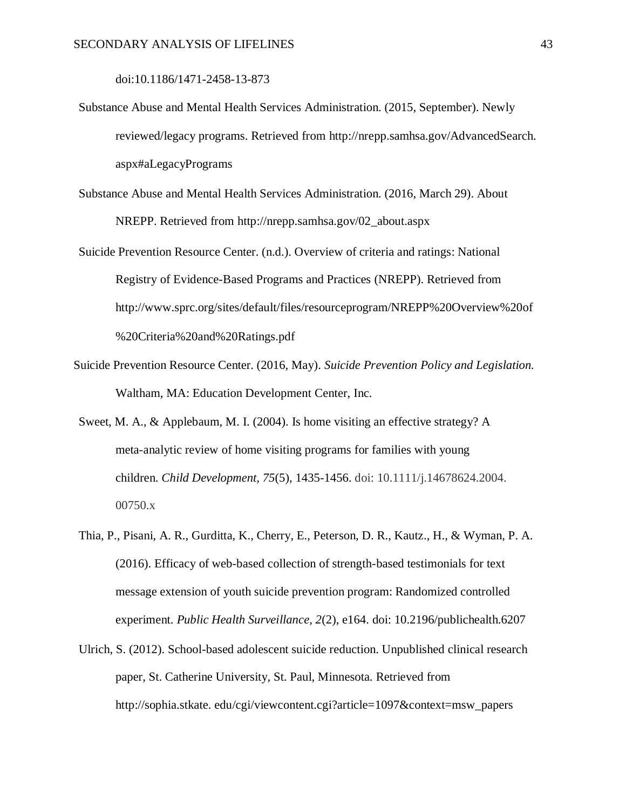doi:10.1186/1471-2458-13-873

- Substance Abuse and Mental Health Services Administration. (2015, September). Newly reviewed/legacy programs. Retrieved from [http://nrepp.samhsa.gov/AdvancedSearch.](http://nrepp.samhsa.gov/AdvancedSearch) aspx#aLegacyPrograms
- Substance Abuse and Mental Health Services Administration. (2016, March 29). About NREPP. Retrieved from [http://nrepp.samhsa.gov/02\\_about.aspx](http://nrepp.samhsa.gov/02_about.aspx)
- Suicide Prevention Resource Center. (n.d.). Overview of criteria and ratings: National Registry of Evidence-Based Programs and Practices (NREPP). Retrieved fro[m](http://www.sprc.org/sites/default/files/resourceprogram/NREPP%20Overview%20of) <http://www.sprc.org/sites/default/files/resourceprogram/NREPP%20Overview%20of> %20Criteria%20and%20Ratings.pdf
- Suicide Prevention Resource Center. (2016, May). *Suicide Prevention Policy and Legislation.* Waltham, MA: Education Development Center, Inc.
- Sweet, M. A., & Applebaum, M. I. (2004). Is home visiting an effective strategy? A meta-analytic review of home visiting programs for families with young children. *Child Development, 75*(5), 1435-1456. doi: 10.1111/j.14678624.2004. 00750.x
- Thia, P., Pisani, A. R., Gurditta, K., Cherry, E., Peterson, D. R., Kautz., H., & Wyman, P. A. (2016). Efficacy of web-based collection of strength-based testimonials for text message extension of youth suicide prevention program: Randomized controlled experiment. *Public Health Surveillance, 2*(2), e164. doi: 10.2196/publichealth.6207
- Ulrich, S. (2012). School-based adolescent suicide reduction. Unpublished clinical research paper, St. Catherine University, St. Paul, Minnesota. Retrieved fro[m](http://sophia.stkate/) [http://sophia.stkate. e](http://sophia.stkate/)du/cgi/viewcontent.cgi?article=1097&context=msw\_papers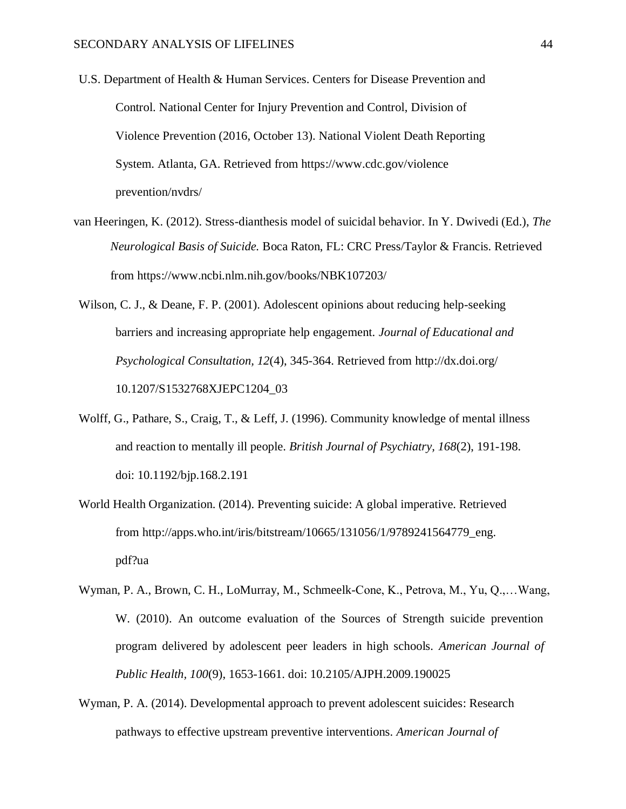- U.S. Department of Health & Human Services. Centers for Disease Prevention and Control. [National Center for Injury Prevention and Control, Division of](http://www.cdc.gov/injury/) [Violence Prevention \(](http://www.cdc.gov/ViolencePrevention/index.html)2016, October 13). National Violent Death Reporting System. Atlanta, GA. Retrieved from https:/[/www.cdc.gov/violence](http://www.cdc.gov/violence) prevention/nvdrs/
- van Heeringen, K. (2012). Stress-dianthesis model of suicidal behavior. In Y. Dwivedi (Ed.), *The Neurological Basis of Suicide.* Boca Raton, FL: CRC Press/Taylor & Francis. Retrieved from https:/[/www.ncbi.nlm.nih.gov/books/NBK107203/](http://www.ncbi.nlm.nih.gov/books/NBK107203/)
- Wilson, C. J., & Deane, F. P. (2001). Adolescent opinions about reducing help-seeking barriers and increasing appropriate help engagement. *Journal of Educational and Psychological Consultation, 12*(4), 345-364. Retrieved from<http://dx.doi.org/> 10.1207/S1532768XJEPC1204\_03
- Wolff, G., Pathare, S., Craig, T., & Leff, J. (1996). Community knowledge of mental illness and reaction to mentally ill people. *British Journal of Psychiatry, 168*(2), 191-198. doi: 10.1192/bjp.168.2.191
- World Health Organization. (2014). Preventing suicide: A global imperative. Retrieved from [http://apps.who.int/iris/bitstream/10665/131056/1/9789241564779\\_eng.](http://apps.who.int/iris/bitstream/10665/131056/1/9789241564779_eng) pdf?ua
- Wyman, P. A., Brown, C. H., LoMurray, M., Schmeelk-Cone, K., Petrova, M., Yu, Q.,…Wang, W. (2010). An outcome evaluation of the Sources of Strength suicide prevention program delivered by adolescent peer leaders in high schools. *American Journal of Public Health, 100*(9), 1653-1661. doi: 10.2105/AJPH.2009.190025
- Wyman, P. A. (2014). Developmental approach to prevent adolescent suicides: Research pathways to effective upstream preventive interventions. *American Journal of*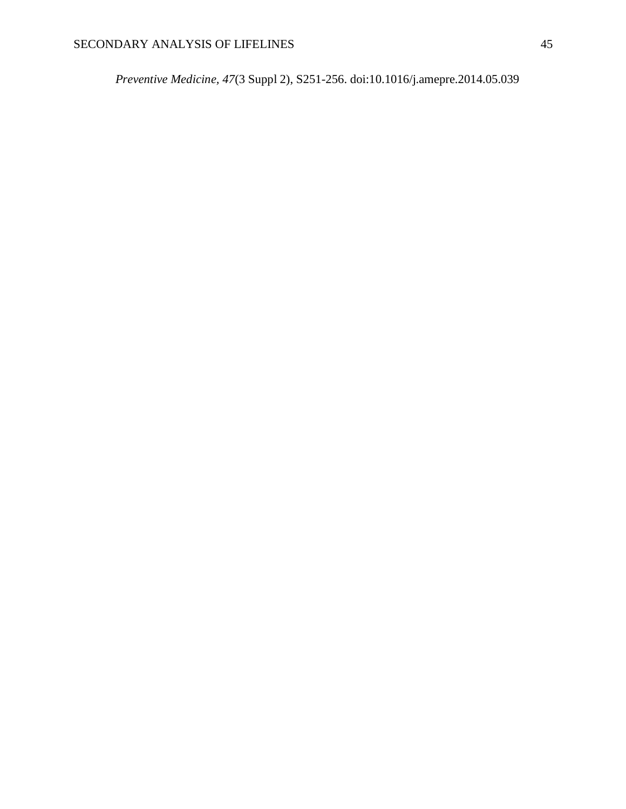*Preventive Medicine, 47*(3 Suppl 2), S251-256. doi:10.1016/j.amepre.2014.05.039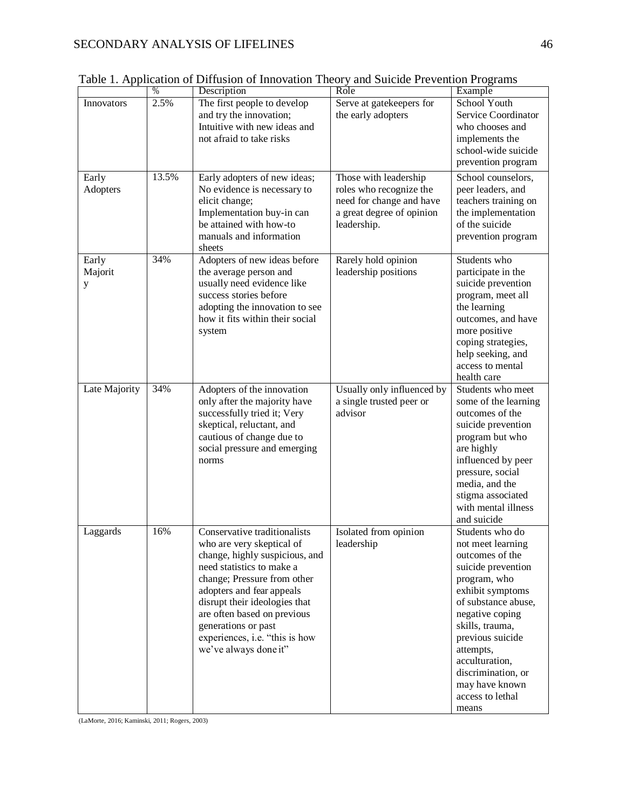|                       | $\%$  | Description                                                                                                                                                                                                                                                                                                                            | Role                                                                                                                     | Example                                                                                                                                                                                                                                                                                                |
|-----------------------|-------|----------------------------------------------------------------------------------------------------------------------------------------------------------------------------------------------------------------------------------------------------------------------------------------------------------------------------------------|--------------------------------------------------------------------------------------------------------------------------|--------------------------------------------------------------------------------------------------------------------------------------------------------------------------------------------------------------------------------------------------------------------------------------------------------|
| Innovators            | 2.5%  | The first people to develop<br>and try the innovation;<br>Intuitive with new ideas and<br>not afraid to take risks                                                                                                                                                                                                                     | Serve at gatekeepers for<br>the early adopters                                                                           | School Youth<br>Service Coordinator<br>who chooses and<br>implements the<br>school-wide suicide<br>prevention program                                                                                                                                                                                  |
| Early<br>Adopters     | 13.5% | Early adopters of new ideas;<br>No evidence is necessary to<br>elicit change;<br>Implementation buy-in can<br>be attained with how-to<br>manuals and information<br>sheets                                                                                                                                                             | Those with leadership<br>roles who recognize the<br>need for change and have<br>a great degree of opinion<br>leadership. | School counselors,<br>peer leaders, and<br>teachers training on<br>the implementation<br>of the suicide<br>prevention program                                                                                                                                                                          |
| Early<br>Majorit<br>y | 34%   | Adopters of new ideas before<br>the average person and<br>usually need evidence like<br>success stories before<br>adopting the innovation to see<br>how it fits within their social<br>system                                                                                                                                          | Rarely hold opinion<br>leadership positions                                                                              | Students who<br>participate in the<br>suicide prevention<br>program, meet all<br>the learning<br>outcomes, and have<br>more positive<br>coping strategies,<br>help seeking, and<br>access to mental<br>health care                                                                                     |
| Late Majority         | 34%   | Adopters of the innovation<br>only after the majority have<br>successfully tried it; Very<br>skeptical, reluctant, and<br>cautious of change due to<br>social pressure and emerging<br>norms                                                                                                                                           | Usually only influenced by<br>a single trusted peer or<br>advisor                                                        | Students who meet<br>some of the learning<br>outcomes of the<br>suicide prevention<br>program but who<br>are highly<br>influenced by peer<br>pressure, social<br>media, and the<br>stigma associated<br>with mental illness<br>and suicide                                                             |
| Laggards              | 16%   | Conservative traditionalists<br>who are very skeptical of<br>change, highly suspicious, and<br>need statistics to make a<br>change; Pressure from other<br>adopters and fear appeals<br>disrupt their ideologies that<br>are often based on previous<br>generations or past<br>experiences, i.e. "this is how<br>we've always done it" | Isolated from opinion<br>leadership                                                                                      | Students who do<br>not meet learning<br>outcomes of the<br>suicide prevention<br>program, who<br>exhibit symptoms<br>of substance abuse,<br>negative coping<br>skills, trauma,<br>previous suicide<br>attempts,<br>acculturation,<br>discrimination, or<br>may have known<br>access to lethal<br>means |

Table 1. Application of Diffusion of Innovation Theory and Suicide Prevention Programs

(LaMorte, 2016; Kaminski, 2011; Rogers, 2003)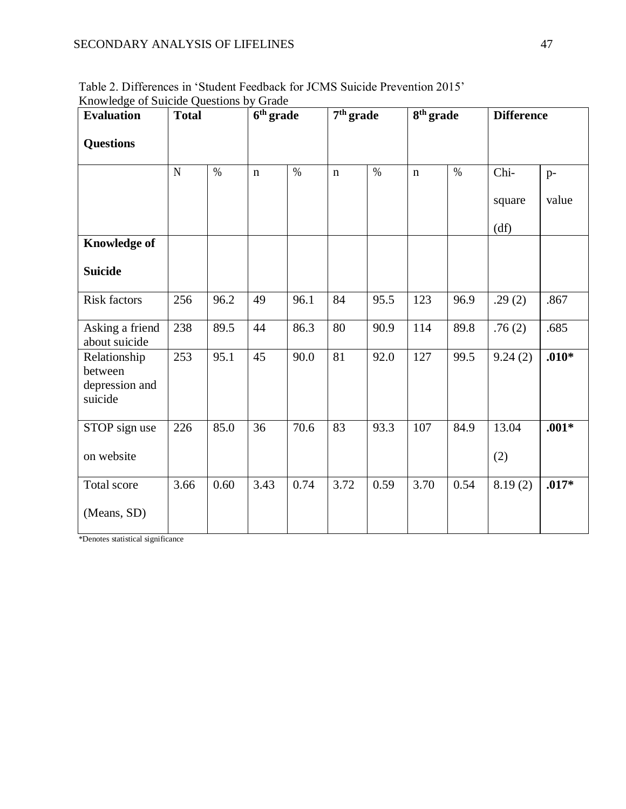| <b>Evaluation</b>                                    | <b>Total</b> |      | 6 <sup>th</sup> grade |      | 7 <sup>th</sup> grade |      | 8 <sup>th</sup> grade |      | <b>Difference</b> |         |
|------------------------------------------------------|--------------|------|-----------------------|------|-----------------------|------|-----------------------|------|-------------------|---------|
| <b>Questions</b>                                     |              |      |                       |      |                       |      |                       |      |                   |         |
|                                                      | $\mathbf N$  | $\%$ | $\mathbf n$           | $\%$ | $\mathbf n$           | $\%$ | $\mathbf n$           | $\%$ | Chi-              | $p-$    |
|                                                      |              |      |                       |      |                       |      |                       |      | square            | value   |
|                                                      |              |      |                       |      |                       |      |                       |      | (df)              |         |
| <b>Knowledge of</b>                                  |              |      |                       |      |                       |      |                       |      |                   |         |
| <b>Suicide</b>                                       |              |      |                       |      |                       |      |                       |      |                   |         |
| <b>Risk factors</b>                                  | 256          | 96.2 | 49                    | 96.1 | 84                    | 95.5 | 123                   | 96.9 | .29(2)            | .867    |
| Asking a friend<br>about suicide                     | 238          | 89.5 | 44                    | 86.3 | 80                    | 90.9 | 114                   | 89.8 | .76(2)            | .685    |
| Relationship<br>between<br>depression and<br>suicide | 253          | 95.1 | 45                    | 90.0 | 81                    | 92.0 | 127                   | 99.5 | 9.24(2)           | $.010*$ |
| STOP sign use                                        | 226          | 85.0 | 36                    | 70.6 | 83                    | 93.3 | 107                   | 84.9 | 13.04             | $.001*$ |
| on website                                           |              |      |                       |      |                       |      |                       |      | (2)               |         |
| Total score                                          | 3.66         | 0.60 | 3.43                  | 0.74 | 3.72                  | 0.59 | 3.70                  | 0.54 | 8.19(2)           | $.017*$ |
| (Means, SD)                                          |              |      |                       |      |                       |      |                       |      |                   |         |

Table 2. Differences in 'Student Feedback for JCMS Suicide Prevention 2015' Knowledge of Suicide Questions by Grade

\*Denotes statistical significance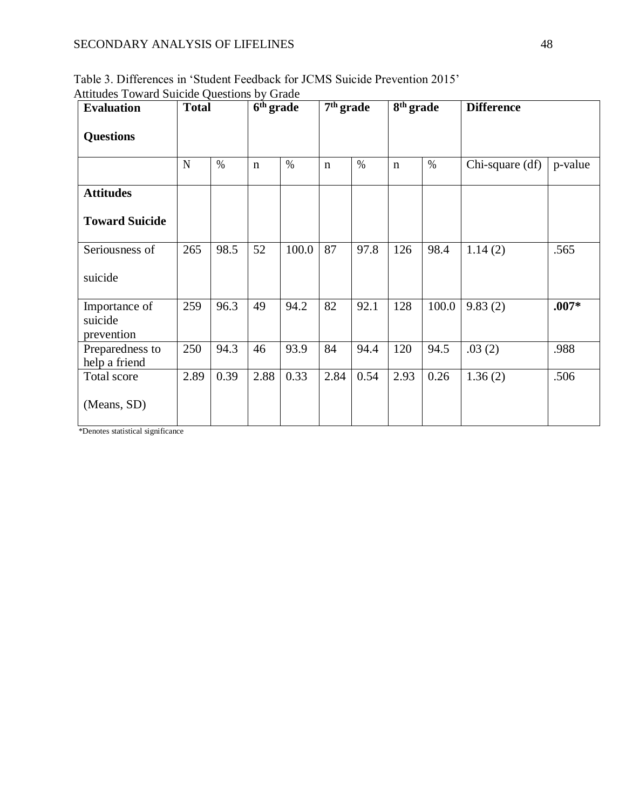| <b>Evaluation</b>                      | <b>Total</b> |      |             | $6th$ grade |             | $7th$ grade |             | 8 <sup>th</sup> grade | <b>Difference</b> |         |
|----------------------------------------|--------------|------|-------------|-------------|-------------|-------------|-------------|-----------------------|-------------------|---------|
| <b>Questions</b>                       |              |      |             |             |             |             |             |                       |                   |         |
|                                        | N            | $\%$ | $\mathbf n$ | $\%$        | $\mathbf n$ | $\%$        | $\mathbf n$ | $\%$                  | Chi-square (df)   | p-value |
| <b>Attitudes</b>                       |              |      |             |             |             |             |             |                       |                   |         |
| <b>Toward Suicide</b>                  |              |      |             |             |             |             |             |                       |                   |         |
| Seriousness of                         | 265          | 98.5 | 52          | 100.0       | 87          | 97.8        | 126         | 98.4                  | 1.14(2)           | .565    |
| suicide                                |              |      |             |             |             |             |             |                       |                   |         |
| Importance of<br>suicide<br>prevention | 259          | 96.3 | 49          | 94.2        | 82          | 92.1        | 128         | 100.0                 | 9.83(2)           | $.007*$ |
| Preparedness to<br>help a friend       | 250          | 94.3 | 46          | 93.9        | 84          | 94.4        | 120         | 94.5                  | .03(2)            | .988    |
| Total score                            | 2.89         | 0.39 | 2.88        | 0.33        | 2.84        | 0.54        | 2.93        | 0.26                  | 1.36(2)           | .506    |
| (Means, SD)                            |              |      |             |             |             |             |             |                       |                   |         |

Table 3. Differences in 'Student Feedback for JCMS Suicide Prevention 2015' Attitudes Toward Suicide Questions by Grade

\*Denotes statistical significance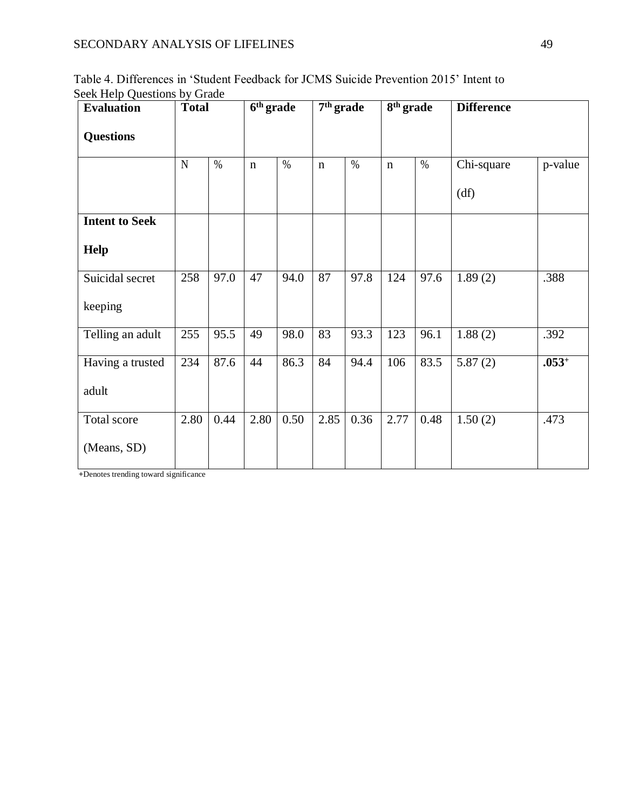| <b>Evaluation</b>     | <b>Total</b> |      | 6 <sup>th</sup> grade |      | 7 <sup>th</sup> grade |      | 8 <sup>th</sup> grade |      | <b>Difference</b> |         |
|-----------------------|--------------|------|-----------------------|------|-----------------------|------|-----------------------|------|-------------------|---------|
| <b>Questions</b>      |              |      |                       |      |                       |      |                       |      |                   |         |
|                       | $\mathbf N$  | $\%$ | $\mathbf n$           | $\%$ | $\mathbf n$           | $\%$ | $\mathbf n$           | $\%$ | Chi-square        | p-value |
|                       |              |      |                       |      |                       |      |                       |      | (df)              |         |
| <b>Intent to Seek</b> |              |      |                       |      |                       |      |                       |      |                   |         |
| Help                  |              |      |                       |      |                       |      |                       |      |                   |         |
| Suicidal secret       | 258          | 97.0 | 47                    | 94.0 | 87                    | 97.8 | 124                   | 97.6 | 1.89(2)           | .388    |
| keeping               |              |      |                       |      |                       |      |                       |      |                   |         |
| Telling an adult      | 255          | 95.5 | 49                    | 98.0 | 83                    | 93.3 | 123                   | 96.1 | 1.88(2)           | .392    |
| Having a trusted      | 234          | 87.6 | 44                    | 86.3 | 84                    | 94.4 | 106                   | 83.5 | 5.87(2)           | $.053+$ |
| adult                 |              |      |                       |      |                       |      |                       |      |                   |         |
| Total score           | 2.80         | 0.44 | 2.80                  | 0.50 | 2.85                  | 0.36 | 2.77                  | 0.48 | 1.50(2)           | .473    |
| (Means, SD)           |              |      |                       |      |                       |      |                       |      |                   |         |

Table 4. Differences in 'Student Feedback for JCMS Suicide Prevention 2015' Intent to Seek Help Questions by Grade

**+**Denotes trending toward significance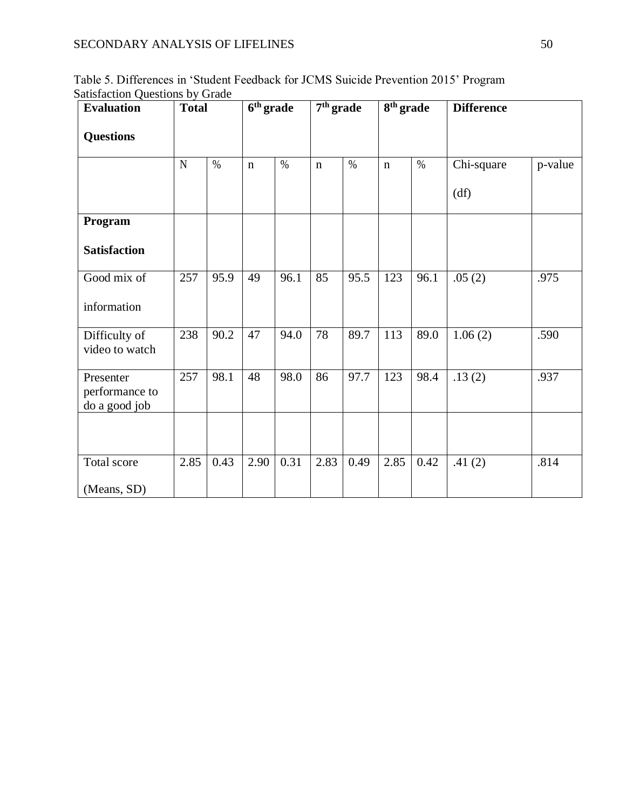| <b>Evaluation</b>                            | <b>Total</b> |      |             | 6 <sup>th</sup> grade |             | $7th$ grade |             | $8th$ grade | <b>Difference</b> |         |
|----------------------------------------------|--------------|------|-------------|-----------------------|-------------|-------------|-------------|-------------|-------------------|---------|
| <b>Questions</b>                             |              |      |             |                       |             |             |             |             |                   |         |
|                                              | $\mathbf N$  | $\%$ | $\mathbf n$ | $\%$                  | $\mathbf n$ | $\%$        | $\mathbf n$ | $\%$        | Chi-square        | p-value |
|                                              |              |      |             |                       |             |             |             |             | (df)              |         |
| Program                                      |              |      |             |                       |             |             |             |             |                   |         |
| <b>Satisfaction</b>                          |              |      |             |                       |             |             |             |             |                   |         |
| Good mix of                                  | 257          | 95.9 | 49          | 96.1                  | 85          | 95.5        | 123         | 96.1        | .05(2)            | .975    |
| information                                  |              |      |             |                       |             |             |             |             |                   |         |
| Difficulty of<br>video to watch              | 238          | 90.2 | 47          | 94.0                  | 78          | 89.7        | 113         | 89.0        | 1.06(2)           | .590    |
| Presenter<br>performance to<br>do a good job | 257          | 98.1 | 48          | 98.0                  | 86          | 97.7        | 123         | 98.4        | .13(2)            | .937    |
|                                              |              |      |             |                       |             |             |             |             |                   |         |
| Total score                                  | 2.85         | 0.43 | 2.90        | 0.31                  | 2.83        | 0.49        | 2.85        | 0.42        | .41(2)            | .814    |
| (Means, SD)                                  |              |      |             |                       |             |             |             |             |                   |         |

Table 5. Differences in 'Student Feedback for JCMS Suicide Prevention 2015' Program Satisfaction Questions by Grade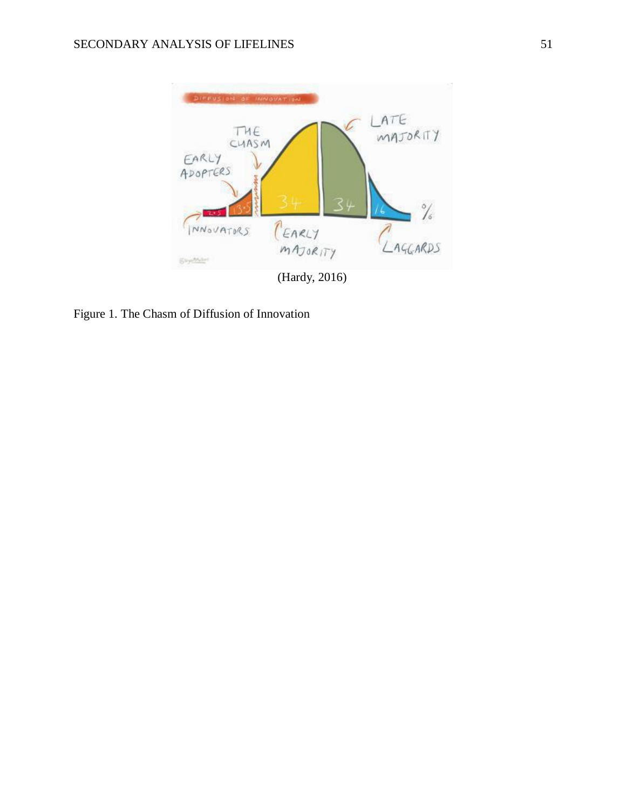

Figure 1. The Chasm of Diffusion of Innovation